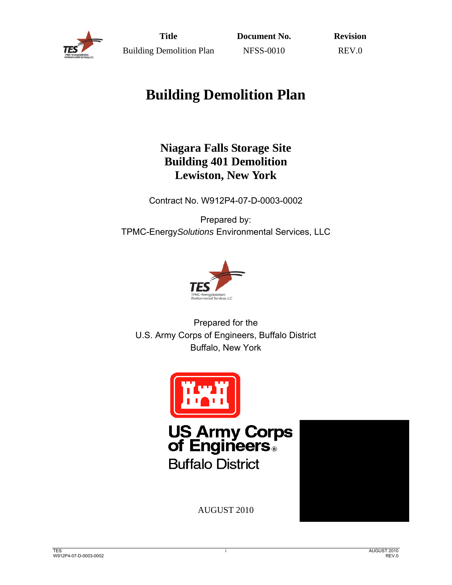

**Title** Building Demolition Plan **Document No.** NFSS-0010

**Revision**  REV.0

# **Building Demolition Plan**

## **Niagara Falls Storage Site Building 401 Demolition Lewiston, New York**

Contract No. W912P4-07-D-0003-0002

Prepared by: TPMC-Energy*Solutions* Environmental Services, LLC



Prepared for the U.S. Army Corps of Engineers, Buffalo District Buffalo, New York





AUGUST 2010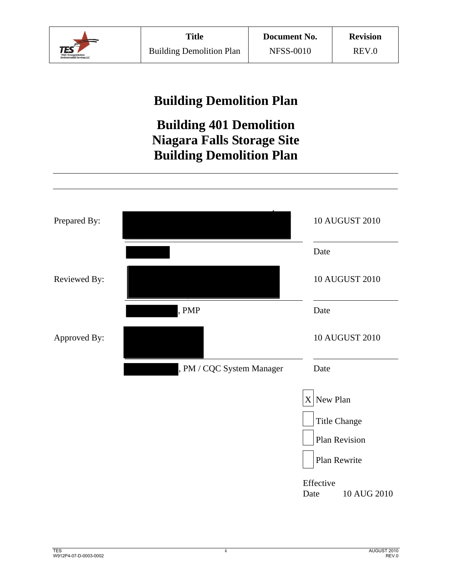

## **Building Demolition Plan**

## **Building 401 Demolition Niagara Falls Storage Site Building Demolition Plan**

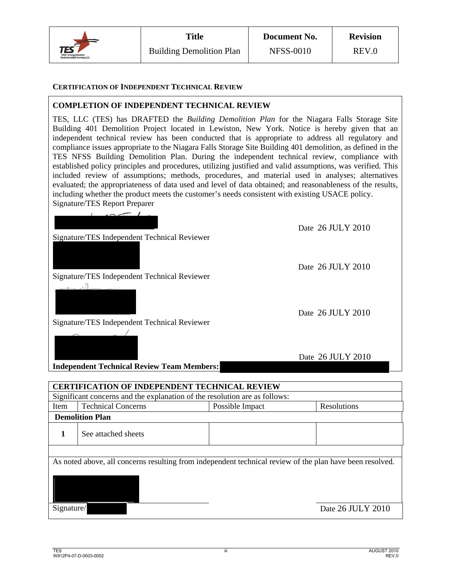

#### **CERTIFICATION OF INDEPENDENT TECHNICAL REVIEW**

#### **COMPLETION OF INDEPENDENT TECHNICAL REVIEW**

TES, LLC (TES) has DRAFTED the *Building Demolition Plan* for the Niagara Falls Storage Site Building 401 Demolition Project located in Lewiston, New York. Notice is hereby given that an independent technical review has been conducted that is appropriate to address all regulatory and compliance issues appropriate to the Niagara Falls Storage Site Building 401 demolition, as defined in the TES NFSS Building Demolition Plan. During the independent technical review, compliance with established policy principles and procedures, utilizing justified and valid assumptions, was verified. This included review of assumptions; methods, procedures, and material used in analyses; alternatives evaluated; the appropriateness of data used and level of data obtained; and reasonableness of the results, including whether the product meets the customer's needs consistent with existing USACE policy. Signature/TES Report Preparer

Date 26 JULY 2010 Signature/TES Independent Technical Reviewer Date 26 JULY 2010 Signature/TES Independent Technical Reviewer Date 26 JULY 2010 Date 26 JULY 2010 **Independent Technical Review Team Members: CERTIFICATION OF INDEPENDENT TECHNICAL REVIEW**

Signature/TES Independent Technical Reviewer

Significant concerns and the explanation of the resolution are as follows: Item Technical Concerns Possible Impact Resolutions  **Demolition Plan**  1 See attached sheets As noted above, all concerns resulting from independent technical review of the plan have been resolved.

Signature/ Date 26 JULY 2010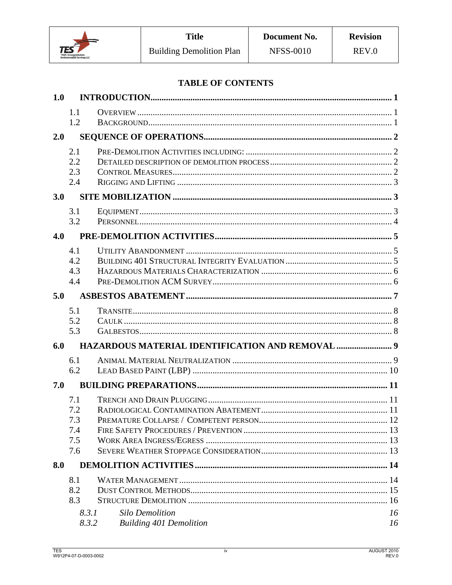

## **TABLE OF CONTENTS**

| 1.0 |                          |                                                          |          |
|-----|--------------------------|----------------------------------------------------------|----------|
|     | 1.1<br>1.2               |                                                          |          |
| 2.0 |                          |                                                          |          |
|     | 2.1<br>2.2<br>2.3<br>2.4 |                                                          |          |
| 3.0 |                          |                                                          |          |
|     | 3.1<br>3.2               |                                                          |          |
| 4.0 |                          |                                                          |          |
|     | 4.1                      |                                                          |          |
|     | 4.2<br>4.3               |                                                          |          |
|     | 4.4                      |                                                          |          |
| 5.0 |                          |                                                          |          |
|     | 5.1                      |                                                          |          |
|     | 5.2                      |                                                          |          |
|     | 5.3                      |                                                          |          |
| 6.0 |                          |                                                          |          |
|     | 6.1<br>6.2               |                                                          |          |
| 7.0 |                          |                                                          |          |
|     | 7.1                      |                                                          |          |
|     | 7.2                      |                                                          |          |
|     | 7.3                      |                                                          |          |
|     | 7.4<br>7.5               |                                                          |          |
|     | 7.6                      |                                                          |          |
| 8.0 |                          |                                                          |          |
|     | 8.1                      |                                                          |          |
|     | 8.2                      |                                                          |          |
|     | 8.3                      |                                                          |          |
|     | 8.3.1<br>8.3.2           | <b>Silo Demolition</b><br><b>Building 401 Demolition</b> | 16<br>16 |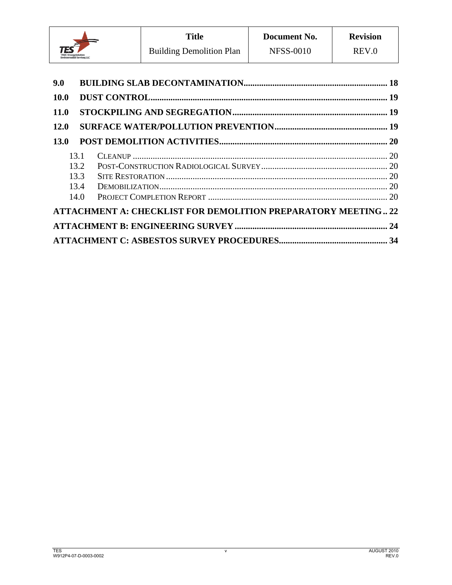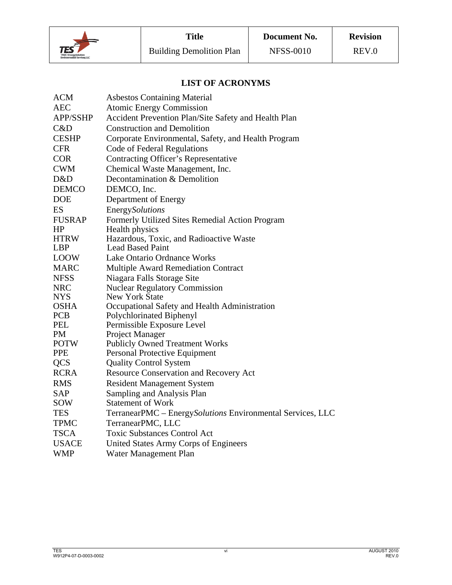

## **LIST OF ACRONYMS**

| <b>ACM</b>      | <b>Asbestos Containing Material</b>                        |
|-----------------|------------------------------------------------------------|
| <b>AEC</b>      | <b>Atomic Energy Commission</b>                            |
| <b>APP/SSHP</b> | Accident Prevention Plan/Site Safety and Health Plan       |
| C&D             | <b>Construction and Demolition</b>                         |
| <b>CESHP</b>    | Corporate Environmental, Safety, and Health Program        |
| <b>CFR</b>      | Code of Federal Regulations                                |
| <b>COR</b>      | <b>Contracting Officer's Representative</b>                |
| <b>CWM</b>      | Chemical Waste Management, Inc.                            |
| D&D             | Decontamination & Demolition                               |
| <b>DEMCO</b>    | DEMCO, Inc.                                                |
| <b>DOE</b>      | Department of Energy                                       |
| ES              | EnergySolutions                                            |
| <b>FUSRAP</b>   | Formerly Utilized Sites Remedial Action Program            |
| HP              | Health physics                                             |
| <b>HTRW</b>     | Hazardous, Toxic, and Radioactive Waste                    |
| <b>LBP</b>      | <b>Lead Based Paint</b>                                    |
| <b>LOOW</b>     | Lake Ontario Ordnance Works                                |
| <b>MARC</b>     | <b>Multiple Award Remediation Contract</b>                 |
| <b>NFSS</b>     | Niagara Falls Storage Site                                 |
| <b>NRC</b>      | <b>Nuclear Regulatory Commission</b>                       |
| <b>NYS</b>      | <b>New York State</b>                                      |
| <b>OSHA</b>     | Occupational Safety and Health Administration              |
| <b>PCB</b>      | Polychlorinated Biphenyl                                   |
| <b>PEL</b>      | Permissible Exposure Level                                 |
| PM              | Project Manager                                            |
| <b>POTW</b>     | <b>Publicly Owned Treatment Works</b>                      |
| <b>PPE</b>      | Personal Protective Equipment                              |
| <b>QCS</b>      | <b>Quality Control System</b>                              |
| <b>RCRA</b>     | Resource Conservation and Recovery Act                     |
| <b>RMS</b>      | <b>Resident Management System</b>                          |
| SAP             | Sampling and Analysis Plan                                 |
| SOW             | <b>Statement of Work</b>                                   |
| TES             | TerranearPMC - EnergySolutions Environmental Services, LLC |
| <b>TPMC</b>     | TerranearPMC, LLC                                          |
| <b>TSCA</b>     | <b>Toxic Substances Control Act</b>                        |
| <b>USACE</b>    | United States Army Corps of Engineers                      |
| <b>WMP</b>      | Water Management Plan                                      |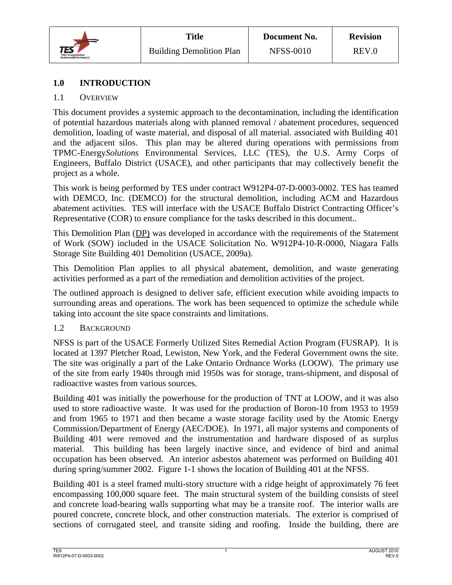

## **1.0 INTRODUCTION**

## 1.1 OVERVIEW

This document provides a systemic approach to the decontamination, including the identification of potential hazardous materials along with planned removal / abatement procedures, sequenced demolition, loading of waste material, and disposal of all material. associated with Building 401 and the adjacent silos. This plan may be altered during operations with permissions from TPMC-Energy*Solutions* Environmental Services, LLC (TES), the U.S. Army Corps of Engineers, Buffalo District (USACE), and other participants that may collectively benefit the project as a whole.

This work is being performed by TES under contract W912P4-07-D-0003-0002. TES has teamed with DEMCO, Inc. (DEMCO) for the structural demolition, including ACM and Hazardous abatement activities. TES will interface with the USACE Buffalo District Contracting Officer's Representative (COR) to ensure compliance for the tasks described in this document..

This Demolition Plan (DP) was developed in accordance with the requirements of the Statement of Work (SOW) included in the USACE Solicitation No. W912P4-10-R-0000, Niagara Falls Storage Site Building 401 Demolition (USACE, 2009a).

This Demolition Plan applies to all physical abatement, demolition, and waste generating activities performed as a part of the remediation and demolition activities of the project.

The outlined approach is designed to deliver safe, efficient execution while avoiding impacts to surrounding areas and operations. The work has been sequenced to optimize the schedule while taking into account the site space constraints and limitations.

## 1.2 BACKGROUND

NFSS is part of the USACE Formerly Utilized Sites Remedial Action Program (FUSRAP). It is located at 1397 Pletcher Road, Lewiston, New York, and the Federal Government owns the site. The site was originally a part of the Lake Ontario Ordnance Works (LOOW). The primary use of the site from early 1940s through mid 1950s was for storage, trans-shipment, and disposal of radioactive wastes from various sources.

Building 401 was initially the powerhouse for the production of TNT at LOOW, and it was also used to store radioactive waste. It was used for the production of Boron-10 from 1953 to 1959 and from 1965 to 1971 and then became a waste storage facility used by the Atomic Energy Commission/Department of Energy (AEC/DOE). In 1971, all major systems and components of Building 401 were removed and the instrumentation and hardware disposed of as surplus material. This building has been largely inactive since, and evidence of bird and animal occupation has been observed. An interior asbestos abatement was performed on Building 401 during spring/summer 2002. Figure 1-1 shows the location of Building 401 at the NFSS.

Building 401 is a steel framed multi-story structure with a ridge height of approximately 76 feet encompassing 100,000 square feet. The main structural system of the building consists of steel and concrete load-bearing walls supporting what may be a transite roof. The interior walls are poured concrete, concrete block, and other construction materials. The exterior is comprised of sections of corrugated steel, and transite siding and roofing. Inside the building, there are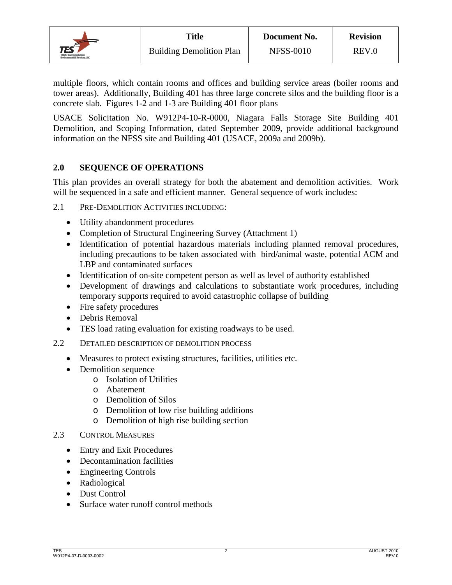![](_page_7_Picture_0.jpeg)

multiple floors, which contain rooms and offices and building service areas (boiler rooms and tower areas). Additionally, Building 401 has three large concrete silos and the building floor is a concrete slab. Figures 1-2 and 1-3 are Building 401 floor plans

USACE Solicitation No. W912P4-10-R-0000, Niagara Falls Storage Site Building 401 Demolition, and Scoping Information, dated September 2009, provide additional background information on the NFSS site and Building 401 (USACE, 2009a and 2009b).

## **2.0 SEQUENCE OF OPERATIONS**

This plan provides an overall strategy for both the abatement and demolition activities. Work will be sequenced in a safe and efficient manner. General sequence of work includes:

- 2.1 PRE-DEMOLITION ACTIVITIES INCLUDING:
	- Utility abandonment procedures
	- Completion of Structural Engineering Survey (Attachment 1)
	- Identification of potential hazardous materials including planned removal procedures, including precautions to be taken associated with bird/animal waste, potential ACM and LBP and contaminated surfaces
	- Identification of on-site competent person as well as level of authority established
	- Development of drawings and calculations to substantiate work procedures, including temporary supports required to avoid catastrophic collapse of building
	- Fire safety procedures
	- Debris Removal
	- TES load rating evaluation for existing roadways to be used.
- 2.2 DETAILED DESCRIPTION OF DEMOLITION PROCESS
	- Measures to protect existing structures, facilities, utilities etc.
	- Demolition sequence
		- o Isolation of Utilities
		- o Abatement
		- o Demolition of Silos
		- o Demolition of low rise building additions
		- o Demolition of high rise building section
- 2.3 CONTROL MEASURES
	- Entry and Exit Procedures
	- Decontamination facilities
	- Engineering Controls
	- Radiological
	- Dust Control
	- Surface water runoff control methods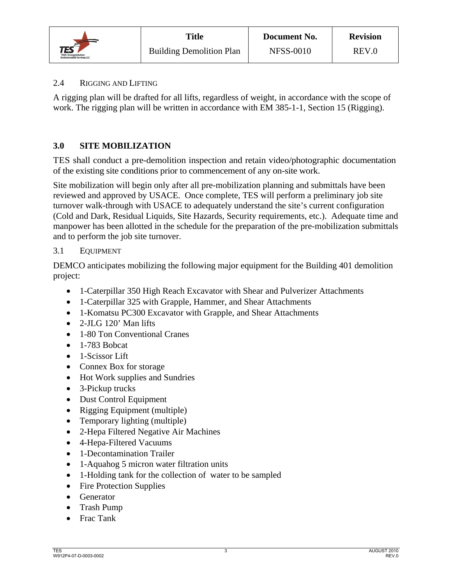![](_page_8_Picture_0.jpeg)

## 2.4 RIGGING AND LIFTING

A rigging plan will be drafted for all lifts, regardless of weight, in accordance with the scope of work. The rigging plan will be written in accordance with EM 385-1-1, Section 15 (Rigging).

## **3.0 SITE MOBILIZATION**

TES shall conduct a pre-demolition inspection and retain video/photographic documentation of the existing site conditions prior to commencement of any on-site work.

Site mobilization will begin only after all pre-mobilization planning and submittals have been reviewed and approved by USACE. Once complete, TES will perform a preliminary job site turnover walk-through with USACE to adequately understand the site's current configuration (Cold and Dark, Residual Liquids, Site Hazards, Security requirements, etc.). Adequate time and manpower has been allotted in the schedule for the preparation of the pre-mobilization submittals and to perform the job site turnover.

## 3.1 EQUIPMENT

DEMCO anticipates mobilizing the following major equipment for the Building 401 demolition project:

- 1-Caterpillar 350 High Reach Excavator with Shear and Pulverizer Attachments
- 1-Caterpillar 325 with Grapple, Hammer, and Shear Attachments
- 1-Komatsu PC300 Excavator with Grapple, and Shear Attachments
- 2-JLG 120' Man lifts
- 1-80 Ton Conventional Cranes
- $\bullet$  1-783 Bobcat
- 1-Scissor Lift
- Connex Box for storage
- Hot Work supplies and Sundries
- 3-Pickup trucks
- Dust Control Equipment
- Rigging Equipment (multiple)
- Temporary lighting (multiple)
- 2-Hepa Filtered Negative Air Machines
- 4-Hepa-Filtered Vacuums
- 1-Decontamination Trailer
- 1-Aquahog 5 micron water filtration units
- 1-Holding tank for the collection of water to be sampled
- Fire Protection Supplies
- Generator
- Trash Pump
- Frac Tank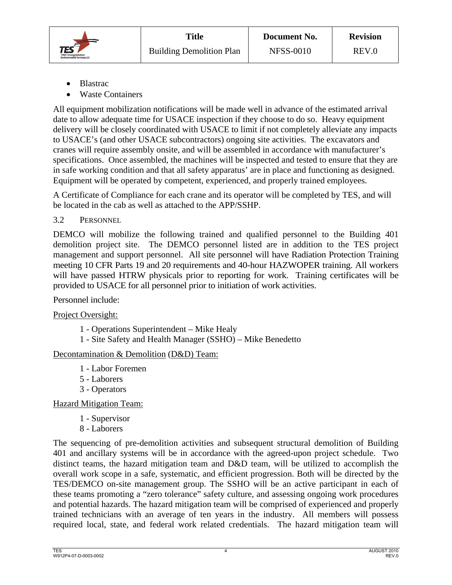![](_page_9_Picture_0.jpeg)

- Blastrac
- Waste Containers

 All equipment mobilization notifications will be made well in advance of the estimated arrival date to allow adequate time for USACE inspection if they choose to do so. Heavy equipment delivery will be closely coordinated with USACE to limit if not completely alleviate any impacts to USACE's (and other USACE subcontractors) ongoing site activities. The excavators and cranes will require assembly onsite, and will be assembled in accordance with manufacturer's specifications. Once assembled, the machines will be inspected and tested to ensure that they are in safe working condition and that all safety apparatus' are in place and functioning as designed. Equipment will be operated by competent, experienced, and properly trained employees.

A Certificate of Compliance for each crane and its operator will be completed by TES, and will be located in the cab as well as attached to the APP/SSHP.

3.2 PERSONNEL

DEMCO will mobilize the following trained and qualified personnel to the Building 401 demolition project site. The DEMCO personnel listed are in addition to the TES project management and support personnel. All site personnel will have Radiation Protection Training meeting 10 CFR Parts 19 and 20 requirements and 40-hour HAZWOPER training. All workers will have passed HTRW physicals prior to reporting for work. Training certificates will be provided to USACE for all personnel prior to initiation of work activities.

Personnel include:

Project Oversight:

- 1 Operations Superintendent Mike Healy
- 1 Site Safety and Health Manager (SSHO) Mike Benedetto

## Decontamination & Demolition (D&D) Team:

- 1 Labor Foremen
- 5 Laborers
- 3 Operators

Hazard Mitigation Team:

- 1 Supervisor
- 8 Laborers

 The sequencing of pre-demolition activities and subsequent structural demolition of Building 401 and ancillary systems will be in accordance with the agreed-upon project schedule. Two distinct teams, the hazard mitigation team and D&D team, will be utilized to accomplish the overall work scope in a safe, systematic, and efficient progression. Both will be directed by the TES/DEMCO on-site management group. The SSHO will be an active participant in each of these teams promoting a "zero tolerance" safety culture, and assessing ongoing work procedures and potential hazards. The hazard mitigation team will be comprised of experienced and properly trained technicians with an average of ten years in the industry. All members will possess required local, state, and federal work related credentials. The hazard mitigation team will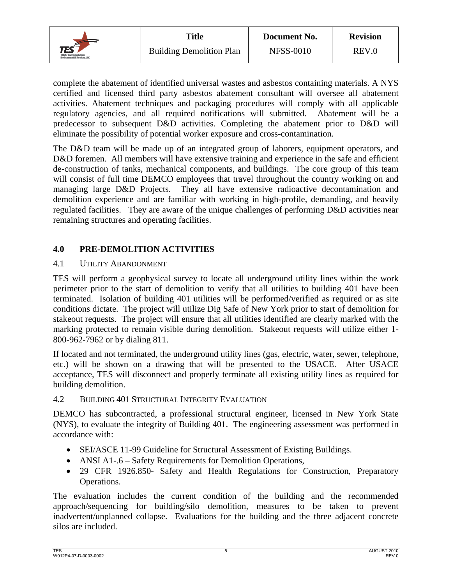![](_page_10_Picture_0.jpeg)

complete the abatement of identified universal wastes and asbestos containing materials. A NYS certified and licensed third party asbestos abatement consultant will oversee all abatement activities. Abatement techniques and packaging procedures will comply with all applicable regulatory agencies, and all required notifications will submitted. Abatement will be a predecessor to subsequent D&D activities. Completing the abatement prior to D&D will eliminate the possibility of potential worker exposure and cross-contamination.

The D&D team will be made up of an integrated group of laborers, equipment operators, and D&D foremen. All members will have extensive training and experience in the safe and efficient de-construction of tanks, mechanical components, and buildings. The core group of this team will consist of full time DEMCO employees that travel throughout the country working on and managing large D&D Projects. They all have extensive radioactive decontamination and demolition experience and are familiar with working in high-profile, demanding, and heavily regulated facilities. They are aware of the unique challenges of performing D&D activities near remaining structures and operating facilities.

## **4.0 PRE-DEMOLITION ACTIVITIES**

## 4.1 UTILITY ABANDONMENT

TES will perform a geophysical survey to locate all underground utility lines within the work perimeter prior to the start of demolition to verify that all utilities to building 401 have been terminated. Isolation of building 401 utilities will be performed/verified as required or as site conditions dictate. The project will utilize Dig Safe of New York prior to start of demolition for stakeout requests. The project will ensure that all utilities identified are clearly marked with the marking protected to remain visible during demolition. Stakeout requests will utilize either 1- 800-962-7962 or by dialing 811.

If located and not terminated, the underground utility lines (gas, electric, water, sewer, telephone, etc.) will be shown on a drawing that will be presented to the USACE. After USACE acceptance, TES will disconnect and properly terminate all existing utility lines as required for building demolition.

#### 4.2 BUILDING 401 STRUCTURAL INTEGRITY EVALUATION

DEMCO has subcontracted, a professional structural engineer, licensed in New York State (NYS), to evaluate the integrity of Building 401. The engineering assessment was performed in accordance with:

- SEI/ASCE 11-99 Guideline for Structural Assessment of Existing Buildings.
- ANSI A1-.6 Safety Requirements for Demolition Operations,
- 29 CFR 1926.850- Safety and Health Regulations for Construction, Preparatory Operations.

The evaluation includes the current condition of the building and the recommended approach/sequencing for building/silo demolition, measures to be taken to prevent inadvertent/unplanned collapse. Evaluations for the building and the three adjacent concrete silos are included.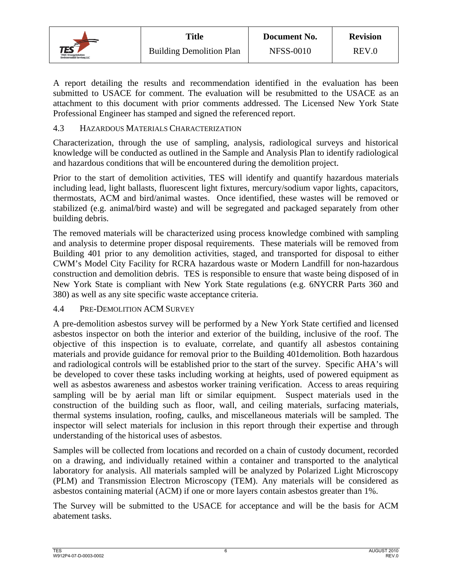![](_page_11_Picture_0.jpeg)

A report detailing the results and recommendation identified in the evaluation has been submitted to USACE for comment. The evaluation will be resubmitted to the USACE as an attachment to this document with prior comments addressed. The Licensed New York State Professional Engineer has stamped and signed the referenced report.

#### 4.3 HAZARDOUS MATERIALS CHARACTERIZATION

Characterization, through the use of sampling, analysis, radiological surveys and historical knowledge will be conducted as outlined in the Sample and Analysis Plan to identify radiological and hazardous conditions that will be encountered during the demolition project.

Prior to the start of demolition activities, TES will identify and quantify hazardous materials including lead, light ballasts, fluorescent light fixtures, mercury/sodium vapor lights, capacitors, thermostats, ACM and bird/animal wastes. Once identified, these wastes will be removed or stabilized (e.g. animal/bird waste) and will be segregated and packaged separately from other building debris.

The removed materials will be characterized using process knowledge combined with sampling and analysis to determine proper disposal requirements. These materials will be removed from Building 401 prior to any demolition activities, staged, and transported for disposal to either CWM's Model City Facility for RCRA hazardous waste or Modern Landfill for non-hazardous construction and demolition debris. TES is responsible to ensure that waste being disposed of in New York State is compliant with New York State regulations (e.g. 6NYCRR Parts 360 and 380) as well as any site specific waste acceptance criteria.

#### 4.4 PRE-DEMOLITION ACM SURVEY

A pre-demolition asbestos survey will be performed by a New York State certified and licensed asbestos inspector on both the interior and exterior of the building, inclusive of the roof. The objective of this inspection is to evaluate, correlate, and quantify all asbestos containing materials and provide guidance for removal prior to the Building 401demolition. Both hazardous and radiological controls will be established prior to the start of the survey. Specific AHA's will be developed to cover these tasks including working at heights, used of powered equipment as well as asbestos awareness and asbestos worker training verification. Access to areas requiring sampling will be by aerial man lift or similar equipment. Suspect materials used in the construction of the building such as floor, wall, and ceiling materials, surfacing materials, thermal systems insulation, roofing, caulks, and miscellaneous materials will be sampled. The inspector will select materials for inclusion in this report through their expertise and through understanding of the historical uses of asbestos.

Samples will be collected from locations and recorded on a chain of custody document, recorded on a drawing, and individually retained within a container and transported to the analytical laboratory for analysis. All materials sampled will be analyzed by Polarized Light Microscopy (PLM) and Transmission Electron Microscopy (TEM). Any materials will be considered as asbestos containing material (ACM) if one or more layers contain asbestos greater than 1%.

The Survey will be submitted to the USACE for acceptance and will be the basis for ACM abatement tasks.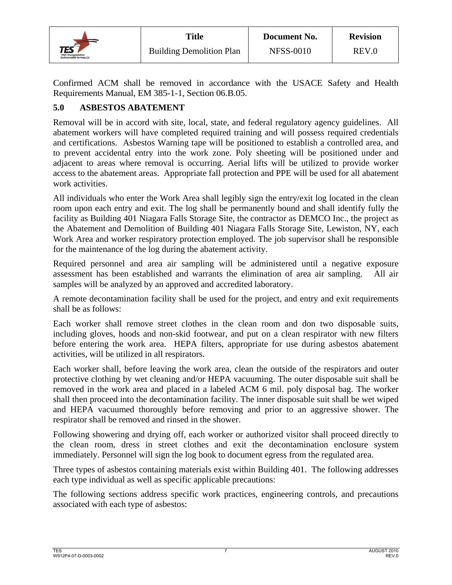![](_page_12_Picture_0.jpeg)

Confirmed ACM shall be removed in accordance with the USACE Safety and Health Requirements Manual, EM 385-1-1, Section 06.B.05.

## **5.0 ASBESTOS ABATEMENT**

Removal will be in accord with site, local, state, and federal regulatory agency guidelines. All abatement workers will have completed required training and will possess required credentials and certifications. Asbestos Warning tape will be positioned to establish a controlled area, and to prevent accidental entry into the work zone. Poly sheeting will be positioned under and adjacent to areas where removal is occurring. Aerial lifts will be utilized to provide worker access to the abatement areas. Appropriate fall protection and PPE will be used for all abatement work activities.

All individuals who enter the Work Area shall legibly sign the entry/exit log located in the clean room upon each entry and exit. The log shall be permanently bound and shall identify fully the facility as Building 401 Niagara Falls Storage Site, the contractor as DEMCO Inc., the project as the Abatement and Demolition of Building 401 Niagara Falls Storage Site, Lewiston, NY, each Work Area and worker respiratory protection employed. The job supervisor shall be responsible for the maintenance of the log during the abatement activity.

Required personnel and area air sampling will be administered until a negative exposure assessment has been established and warrants the elimination of area air sampling. All air samples will be analyzed by an approved and accredited laboratory.

A remote decontamination facility shall be used for the project, and entry and exit requirements shall be as follows:

Each worker shall remove street clothes in the clean room and don two disposable suits, including gloves, hoods and non-skid footwear, and put on a clean respirator with new filters before entering the work area. HEPA filters, appropriate for use during asbestos abatement activities, will be utilized in all respirators.

Each worker shall, before leaving the work area, clean the outside of the respirators and outer protective clothing by wet cleaning and/or HEPA vacuuming. The outer disposable suit shall be removed in the work area and placed in a labeled ACM 6 mil. poly disposal bag. The worker shall then proceed into the decontamination facility. The inner disposable suit shall be wet wiped and HEPA vacuumed thoroughly before removing and prior to an aggressive shower. The respirator shall be removed and rinsed in the shower.

Following showering and drying off, each worker or authorized visitor shall proceed directly to the clean room, dress in street clothes and exit the decontamination enclosure system immediately. Personnel will sign the log book to document egress from the regulated area.

Three types of asbestos containing materials exist within Building 401. The following addresses each type individual as well as specific applicable precautions:

The following sections address specific work practices, engineering controls, and precautions associated with each type of asbestos: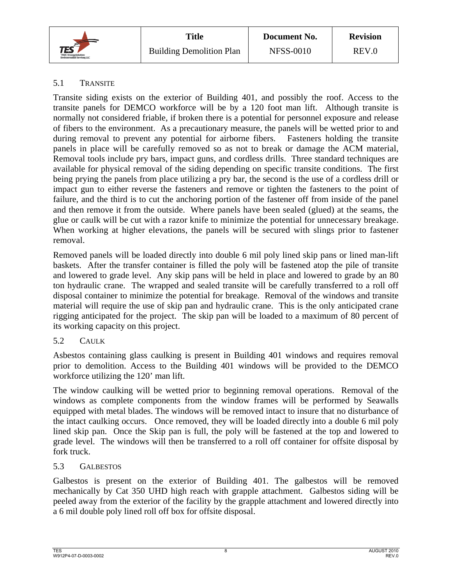![](_page_13_Picture_0.jpeg)

## 5.1 TRANSITE

Transite siding exists on the exterior of Building 401, and possibly the roof. Access to the transite panels for DEMCO workforce will be by a 120 foot man lift. Although transite is normally not considered friable, if broken there is a potential for personnel exposure and release of fibers to the environment. As a precautionary measure, the panels will be wetted prior to and during removal to prevent any potential for airborne fibers. Fasteners holding the transite panels in place will be carefully removed so as not to break or damage the ACM material, Removal tools include pry bars, impact guns, and cordless drills. Three standard techniques are available for physical removal of the siding depending on specific transite conditions. The first being prying the panels from place utilizing a pry bar, the second is the use of a cordless drill or impact gun to either reverse the fasteners and remove or tighten the fasteners to the point of failure, and the third is to cut the anchoring portion of the fastener off from inside of the panel and then remove it from the outside. Where panels have been sealed (glued) at the seams, the glue or caulk will be cut with a razor knife to minimize the potential for unnecessary breakage. When working at higher elevations, the panels will be secured with slings prior to fastener removal.

Removed panels will be loaded directly into double 6 mil poly lined skip pans or lined man-lift baskets. After the transfer container is filled the poly will be fastened atop the pile of transite and lowered to grade level. Any skip pans will be held in place and lowered to grade by an 80 ton hydraulic crane. The wrapped and sealed transite will be carefully transferred to a roll off disposal container to minimize the potential for breakage. Removal of the windows and transite material will require the use of skip pan and hydraulic crane. This is the only anticipated crane rigging anticipated for the project. The skip pan will be loaded to a maximum of 80 percent of its working capacity on this project.

## 5.2 CAULK

Asbestos containing glass caulking is present in Building 401 windows and requires removal prior to demolition. Access to the Building 401 windows will be provided to the DEMCO workforce utilizing the 120' man lift.

The window caulking will be wetted prior to beginning removal operations. Removal of the windows as complete components from the window frames will be performed by Seawalls equipped with metal blades. The windows will be removed intact to insure that no disturbance of the intact caulking occurs. Once removed, they will be loaded directly into a double 6 mil poly lined skip pan. Once the Skip pan is full, the poly will be fastened at the top and lowered to grade level. The windows will then be transferred to a roll off container for offsite disposal by fork truck.

## 5.3 GALBESTOS

Galbestos is present on the exterior of Building 401. The galbestos will be removed mechanically by Cat 350 UHD high reach with grapple attachment. Galbestos siding will be peeled away from the exterior of the facility by the grapple attachment and lowered directly into a 6 mil double poly lined roll off box for offsite disposal.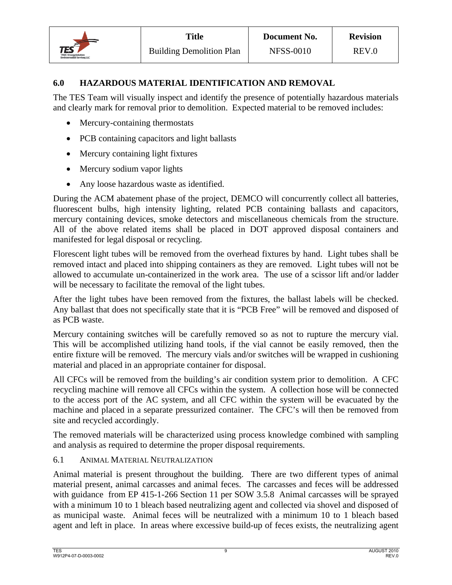![](_page_14_Picture_0.jpeg)

**Document No.** NFSS-0010

## **6.0 HAZARDOUS MATERIAL IDENTIFICATION AND REMOVAL**

The TES Team will visually inspect and identify the presence of potentially hazardous materials and clearly mark for removal prior to demolition. Expected material to be removed includes:

- Mercury-containing thermostats
- PCB containing capacitors and light ballasts
- Mercury containing light fixtures
- Mercury sodium vapor lights
- Any loose hazardous waste as identified.

During the ACM abatement phase of the project, DEMCO will concurrently collect all batteries, fluorescent bulbs, high intensity lighting, related PCB containing ballasts and capacitors, mercury containing devices, smoke detectors and miscellaneous chemicals from the structure. All of the above related items shall be placed in DOT approved disposal containers and manifested for legal disposal or recycling.

Florescent light tubes will be removed from the overhead fixtures by hand. Light tubes shall be removed intact and placed into shipping containers as they are removed. Light tubes will not be allowed to accumulate un-containerized in the work area. The use of a scissor lift and/or ladder will be necessary to facilitate the removal of the light tubes.

After the light tubes have been removed from the fixtures, the ballast labels will be checked. Any ballast that does not specifically state that it is "PCB Free" will be removed and disposed of as PCB waste.

Mercury containing switches will be carefully removed so as not to rupture the mercury vial. This will be accomplished utilizing hand tools, if the vial cannot be easily removed, then the entire fixture will be removed. The mercury vials and/or switches will be wrapped in cushioning material and placed in an appropriate container for disposal.

All CFCs will be removed from the building's air condition system prior to demolition. A CFC recycling machine will remove all CFCs within the system. A collection hose will be connected to the access port of the AC system, and all CFC within the system will be evacuated by the machine and placed in a separate pressurized container. The CFC's will then be removed from site and recycled accordingly.

The removed materials will be characterized using process knowledge combined with sampling and analysis as required to determine the proper disposal requirements.

## 6.1 ANIMAL MATERIAL NEUTRALIZATION

Animal material is present throughout the building. There are two different types of animal material present, animal carcasses and animal feces. The carcasses and feces will be addressed with guidance from EP 415-1-266 Section 11 per SOW 3.5.8 Animal carcasses will be sprayed with a minimum 10 to 1 bleach based neutralizing agent and collected via shovel and disposed of as municipal waste. Animal feces will be neutralized with a minimum 10 to 1 bleach based agent and left in place. In areas where excessive build-up of feces exists, the neutralizing agent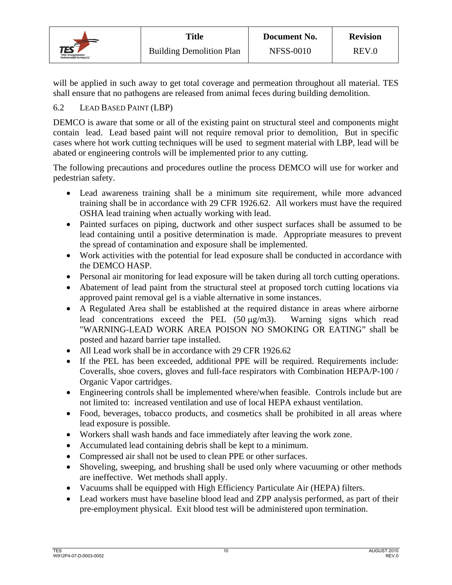![](_page_15_Picture_0.jpeg)

will be applied in such away to get total coverage and permeation throughout all material. TES shall ensure that no pathogens are released from animal feces during building demolition.

## 6.2 LEAD BASED PAINT (LBP)

DEMCO is aware that some or all of the existing paint on structural steel and components might contain lead. Lead based paint will not require removal prior to demolition, But in specific cases where hot work cutting techniques will be used to segment material with LBP, lead will be abated or engineering controls will be implemented prior to any cutting.

 The following precautions and procedures outline the process DEMCO will use for worker and pedestrian safety.

- Lead awareness training shall be a minimum site requirement, while more advanced training shall be in accordance with 29 CFR 1926.62. All workers must have the required OSHA lead training when actually working with lead.
- Painted surfaces on piping, ductwork and other suspect surfaces shall be assumed to be lead containing until a positive determination is made. Appropriate measures to prevent the spread of contamination and exposure shall be implemented.
- Work activities with the potential for lead exposure shall be conducted in accordance with the DEMCO HASP.
- Personal air monitoring for lead exposure will be taken during all torch cutting operations.
- Abatement of lead paint from the structural steel at proposed torch cutting locations via approved paint removal gel is a viable alternative in some instances.
- A Regulated Area shall be established at the required distance in areas where airborne lead concentrations exceed the PEL  $(50 \mu g/m3)$ . Warning signs which read "WARNING-LEAD WORK AREA POISON NO SMOKING OR EATING" shall be posted and hazard barrier tape installed.
- All Lead work shall be in accordance with 29 CFR 1926.62
- If the PEL has been exceeded, additional PPE will be required. Requirements include: Coveralls, shoe covers, gloves and full-face respirators with Combination HEPA/P-100 / Organic Vapor cartridges.
- Engineering controls shall be implemented where/when feasible. Controls include but are not limited to: increased ventilation and use of local HEPA exhaust ventilation.
- Food, beverages, tobacco products, and cosmetics shall be prohibited in all areas where lead exposure is possible.
- Workers shall wash hands and face immediately after leaving the work zone.
- Accumulated lead containing debris shall be kept to a minimum.
- Compressed air shall not be used to clean PPE or other surfaces.
- Shoveling, sweeping, and brushing shall be used only where vacuuming or other methods are ineffective. Wet methods shall apply.
- Vacuums shall be equipped with High Efficiency Particulate Air (HEPA) filters.
- Lead workers must have baseline blood lead and ZPP analysis performed, as part of their pre-employment physical. Exit blood test will be administered upon termination.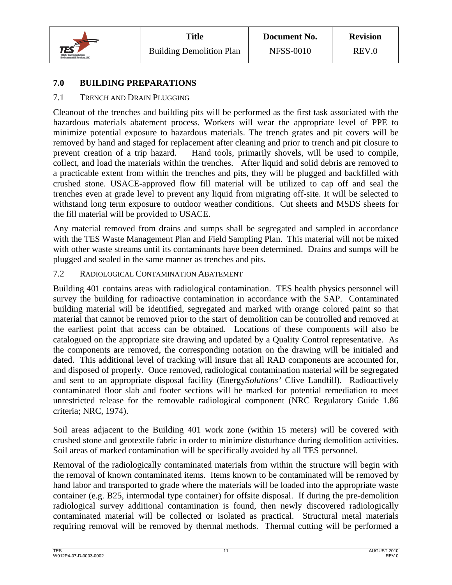![](_page_16_Picture_0.jpeg)

## **7.0 BUILDING PREPARATIONS**

## 7.1 TRENCH AND DRAIN PLUGGING

Cleanout of the trenches and building pits will be performed as the first task associated with the hazardous materials abatement process. Workers will wear the appropriate level of PPE to minimize potential exposure to hazardous materials. The trench grates and pit covers will be removed by hand and staged for replacement after cleaning and prior to trench and pit closure to prevent creation of a trip hazard. Hand tools, primarily shovels, will be used to compile, collect, and load the materials within the trenches. After liquid and solid debris are removed to a practicable extent from within the trenches and pits, they will be plugged and backfilled with crushed stone. USACE-approved flow fill material will be utilized to cap off and seal the trenches even at grade level to prevent any liquid from migrating off-site. It will be selected to withstand long term exposure to outdoor weather conditions. Cut sheets and MSDS sheets for the fill material will be provided to USACE.

Any material removed from drains and sumps shall be segregated and sampled in accordance with the TES Waste Management Plan and Field Sampling Plan. This material will not be mixed with other waste streams until its contaminants have been determined. Drains and sumps will be plugged and sealed in the same manner as trenches and pits.

## 7.2 RADIOLOGICAL CONTAMINATION ABATEMENT

Building 401 contains areas with radiological contamination. TES health physics personnel will survey the building for radioactive contamination in accordance with the SAP. Contaminated building material will be identified, segregated and marked with orange colored paint so that material that cannot be removed prior to the start of demolition can be controlled and removed at the earliest point that access can be obtained. Locations of these components will also be catalogued on the appropriate site drawing and updated by a Quality Control representative. As the components are removed, the corresponding notation on the drawing will be initialed and dated. This additional level of tracking will insure that all RAD components are accounted for, and disposed of properly. Once removed, radiological contamination material will be segregated and sent to an appropriate disposal facility (Energy*Solutions'* Clive Landfill). Radioactively contaminated floor slab and footer sections will be marked for potential remediation to meet unrestricted release for the removable radiological component (NRC Regulatory Guide 1.86 criteria; NRC, 1974).

Soil areas adjacent to the Building 401 work zone (within 15 meters) will be covered with crushed stone and geotextile fabric in order to minimize disturbance during demolition activities. Soil areas of marked contamination will be specifically avoided by all TES personnel.

Removal of the radiologically contaminated materials from within the structure will begin with the removal of known contaminated items. Items known to be contaminated will be removed by hand labor and transported to grade where the materials will be loaded into the appropriate waste container (e.g. B25, intermodal type container) for offsite disposal. If during the pre-demolition radiological survey additional contamination is found, then newly discovered radiologically contaminated material will be collected or isolated as practical. Structural metal materials requiring removal will be removed by thermal methods. Thermal cutting will be performed a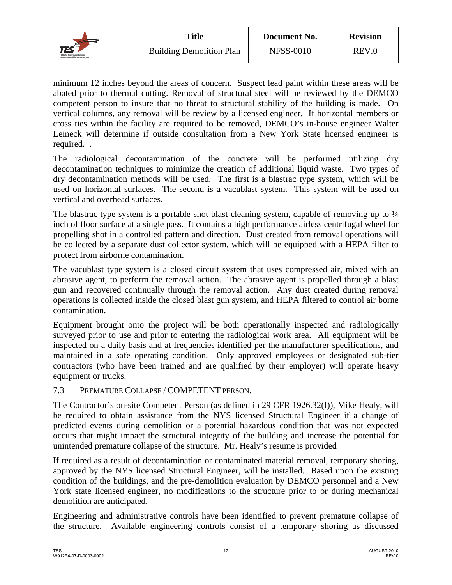![](_page_17_Picture_0.jpeg)

minimum 12 inches beyond the areas of concern. Suspect lead paint within these areas will be abated prior to thermal cutting. Removal of structural steel will be reviewed by the DEMCO competent person to insure that no threat to structural stability of the building is made. On vertical columns, any removal will be review by a licensed engineer. If horizontal members or cross ties within the facility are required to be removed, DEMCO's in-house engineer Walter Leineck will determine if outside consultation from a New York State licensed engineer is required. .

The radiological decontamination of the concrete will be performed utilizing dry decontamination techniques to minimize the creation of additional liquid waste. Two types of dry decontamination methods will be used. The first is a blastrac type system, which will be used on horizontal surfaces. The second is a vacublast system. This system will be used on vertical and overhead surfaces.

The blastrac type system is a portable shot blast cleaning system, capable of removing up to  $\frac{1}{4}$ inch of floor surface at a single pass. It contains a high performance airless centrifugal wheel for propelling shot in a controlled pattern and direction. Dust created from removal operations will be collected by a separate dust collector system, which will be equipped with a HEPA filter to protect from airborne contamination.

The vacublast type system is a closed circuit system that uses compressed air, mixed with an abrasive agent, to perform the removal action. The abrasive agent is propelled through a blast gun and recovered continually through the removal action. Any dust created during removal operations is collected inside the closed blast gun system, and HEPA filtered to control air borne contamination.

Equipment brought onto the project will be both operationally inspected and radiologically surveyed prior to use and prior to entering the radiological work area. All equipment will be inspected on a daily basis and at frequencies identified per the manufacturer specifications, and maintained in a safe operating condition. Only approved employees or designated sub-tier contractors (who have been trained and are qualified by their employer) will operate heavy equipment or trucks.

## 7.3 PREMATURE COLLAPSE / COMPETENT PERSON.

The Contractor's on-site Competent Person (as defined in 29 CFR 1926.32(f)), Mike Healy, will be required to obtain assistance from the NYS licensed Structural Engineer if a change of predicted events during demolition or a potential hazardous condition that was not expected occurs that might impact the structural integrity of the building and increase the potential for unintended premature collapse of the structure. Mr. Healy's resume is provided

If required as a result of decontamination or contaminated material removal, temporary shoring, approved by the NYS licensed Structural Engineer, will be installed. Based upon the existing condition of the buildings, and the pre-demolition evaluation by DEMCO personnel and a New York state licensed engineer, no modifications to the structure prior to or during mechanical demolition are anticipated.

Engineering and administrative controls have been identified to prevent premature collapse of the structure. Available engineering controls consist of a temporary shoring as discussed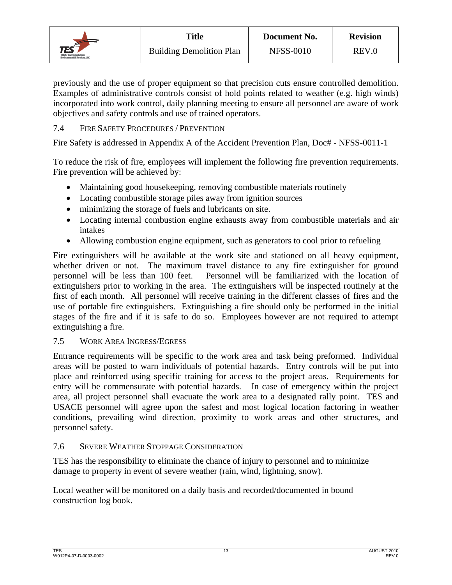![](_page_18_Picture_0.jpeg)

previously and the use of proper equipment so that precision cuts ensure controlled demolition. Examples of administrative controls consist of hold points related to weather (e.g. high winds) incorporated into work control, daily planning meeting to ensure all personnel are aware of work objectives and safety controls and use of trained operators.

## 7.4 FIRE SAFETY PROCEDURES / PREVENTION

Fire Safety is addressed in Appendix A of the Accident Prevention Plan, Doc# - NFSS-0011-1

To reduce the risk of fire, employees will implement the following fire prevention requirements. Fire prevention will be achieved by:

- Maintaining good housekeeping, removing combustible materials routinely
- Locating combustible storage piles away from ignition sources
- minimizing the storage of fuels and lubricants on site.
- Locating internal combustion engine exhausts away from combustible materials and air intakes
- Allowing combustion engine equipment, such as generators to cool prior to refueling

Fire extinguishers will be available at the work site and stationed on all heavy equipment, whether driven or not. The maximum travel distance to any fire extinguisher for ground personnel will be less than 100 feet. Personnel will be familiarized with the location of extinguishers prior to working in the area. The extinguishers will be inspected routinely at the first of each month. All personnel will receive training in the different classes of fires and the use of portable fire extinguishers. Extinguishing a fire should only be performed in the initial stages of the fire and if it is safe to do so. Employees however are not required to attempt extinguishing a fire.

## 7.5 WORK AREA INGRESS/EGRESS

Entrance requirements will be specific to the work area and task being preformed. Individual areas will be posted to warn individuals of potential hazards. Entry controls will be put into place and reinforced using specific training for access to the project areas. Requirements for entry will be commensurate with potential hazards. In case of emergency within the project area, all project personnel shall evacuate the work area to a designated rally point. TES and USACE personnel will agree upon the safest and most logical location factoring in weather conditions, prevailing wind direction, proximity to work areas and other structures, and personnel safety.

## 7.6 SEVERE WEATHER STOPPAGE CONSIDERATION

TES has the responsibility to eliminate the chance of injury to personnel and to minimize damage to property in event of severe weather (rain, wind, lightning, snow).

Local weather will be monitored on a daily basis and recorded/documented in bound construction log book.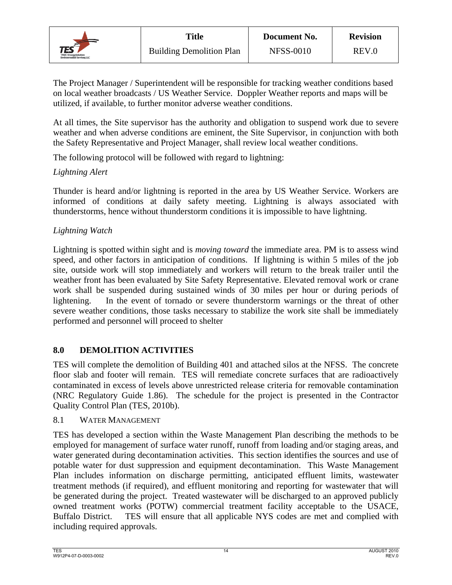![](_page_19_Picture_0.jpeg)

The Project Manager / Superintendent will be responsible for tracking weather conditions based on local weather broadcasts / US Weather Service. Doppler Weather reports and maps will be utilized, if available, to further monitor adverse weather conditions.

At all times, the Site supervisor has the authority and obligation to suspend work due to severe weather and when adverse conditions are eminent, the Site Supervisor, in conjunction with both the Safety Representative and Project Manager, shall review local weather conditions.

The following protocol will be followed with regard to lightning:

## *Lightning Alert*

Thunder is heard and/or lightning is reported in the area by US Weather Service. Workers are informed of conditions at daily safety meeting. Lightning is always associated with thunderstorms, hence without thunderstorm conditions it is impossible to have lightning.

## *Lightning Watch*

Lightning is spotted within sight and is *moving toward* the immediate area. PM is to assess wind speed, and other factors in anticipation of conditions. If lightning is within 5 miles of the job site, outside work will stop immediately and workers will return to the break trailer until the weather front has been evaluated by Site Safety Representative. Elevated removal work or crane work shall be suspended during sustained winds of 30 miles per hour or during periods of lightening. In the event of tornado or severe thunderstorm warnings or the threat of other severe weather conditions, those tasks necessary to stabilize the work site shall be immediately performed and personnel will proceed to shelter

## **8.0 DEMOLITION ACTIVITIES**

TES will complete the demolition of Building 401 and attached silos at the NFSS. The concrete floor slab and footer will remain. TES will remediate concrete surfaces that are radioactively contaminated in excess of levels above unrestricted release criteria for removable contamination (NRC Regulatory Guide 1.86). The schedule for the project is presented in the Contractor Quality Control Plan (TES, 2010b).

## 8.1 WATER MANAGEMENT

TES has developed a section within the Waste Management Plan describing the methods to be employed for management of surface water runoff, runoff from loading and/or staging areas, and water generated during decontamination activities. This section identifies the sources and use of potable water for dust suppression and equipment decontamination. This Waste Management Plan includes information on discharge permitting, anticipated effluent limits, wastewater treatment methods (if required), and effluent monitoring and reporting for wastewater that will be generated during the project. Treated wastewater will be discharged to an approved publicly owned treatment works (POTW) commercial treatment facility acceptable to the USACE, Buffalo District. TES will ensure that all applicable NYS codes are met and complied with including required approvals.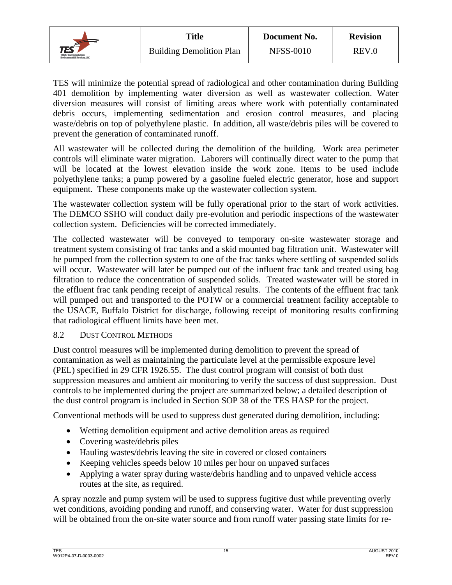![](_page_20_Picture_0.jpeg)

TES will minimize the potential spread of radiological and other contamination during Building 401 demolition by implementing water diversion as well as wastewater collection. Water diversion measures will consist of limiting areas where work with potentially contaminated debris occurs, implementing sedimentation and erosion control measures, and placing waste/debris on top of polyethylene plastic. In addition, all waste/debris piles will be covered to prevent the generation of contaminated runoff.

All wastewater will be collected during the demolition of the building. Work area perimeter controls will eliminate water migration. Laborers will continually direct water to the pump that will be located at the lowest elevation inside the work zone. Items to be used include polyethylene tanks; a pump powered by a gasoline fueled electric generator, hose and support equipment. These components make up the wastewater collection system.

The wastewater collection system will be fully operational prior to the start of work activities. The DEMCO SSHO will conduct daily pre-evolution and periodic inspections of the wastewater collection system. Deficiencies will be corrected immediately.

The collected wastewater will be conveyed to temporary on-site wastewater storage and treatment system consisting of frac tanks and a skid mounted bag filtration unit. Wastewater will be pumped from the collection system to one of the frac tanks where settling of suspended solids will occur. Wastewater will later be pumped out of the influent frac tank and treated using bag filtration to reduce the concentration of suspended solids. Treated wastewater will be stored in the effluent frac tank pending receipt of analytical results. The contents of the effluent frac tank will pumped out and transported to the POTW or a commercial treatment facility acceptable to the USACE, Buffalo District for discharge, following receipt of monitoring results confirming that radiological effluent limits have been met.

## 8.2 DUST CONTROL METHODS

Dust control measures will be implemented during demolition to prevent the spread of contamination as well as maintaining the particulate level at the permissible exposure level (PEL) specified in 29 CFR 1926.55. The dust control program will consist of both dust suppression measures and ambient air monitoring to verify the success of dust suppression. Dust controls to be implemented during the project are summarized below; a detailed description of the dust control program is included in Section SOP 38 of the TES HASP for the project.

Conventional methods will be used to suppress dust generated during demolition, including:

- Wetting demolition equipment and active demolition areas as required
- Covering waste/debris piles
- Hauling wastes/debris leaving the site in covered or closed containers
- Keeping vehicles speeds below 10 miles per hour on unpaved surfaces
- Applying a water spray during waste/debris handling and to unpaved vehicle access routes at the site, as required.

A spray nozzle and pump system will be used to suppress fugitive dust while preventing overly wet conditions, avoiding ponding and runoff, and conserving water. Water for dust suppression will be obtained from the on-site water source and from runoff water passing state limits for re-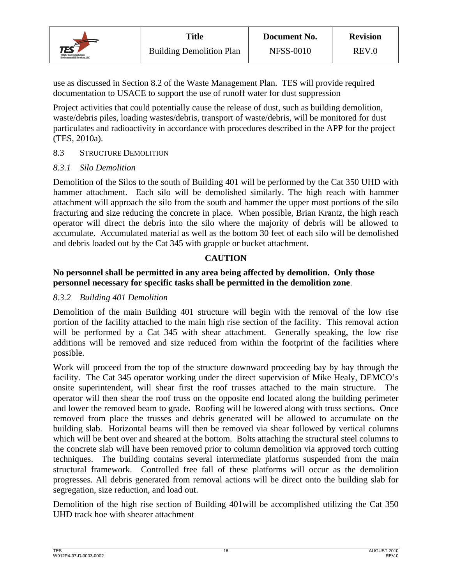![](_page_21_Picture_0.jpeg)

use as discussed in Section 8.2 of the Waste Management Plan. TES will provide required documentation to USACE to support the use of runoff water for dust suppression

Project activities that could potentially cause the release of dust, such as building demolition, waste/debris piles, loading wastes/debris, transport of waste/debris, will be monitored for dust particulates and radioactivity in accordance with procedures described in the APP for the project (TES, 2010a).

## 8.3 STRUCTURE DEMOLITION

#### *8.3.1 Silo Demolition*

Demolition of the Silos to the south of Building 401 will be performed by the Cat 350 UHD with hammer attachment. Each silo will be demolished similarly. The high reach with hammer attachment will approach the silo from the south and hammer the upper most portions of the silo fracturing and size reducing the concrete in place. When possible, Brian Krantz, the high reach operator will direct the debris into the silo where the majority of debris will be allowed to accumulate. Accumulated material as well as the bottom 30 feet of each silo will be demolished and debris loaded out by the Cat 345 with grapple or bucket attachment.

## **CAUTION**

#### **No personnel shall be permitted in any area being affected by demolition. Only those personnel necessary for specific tasks shall be permitted in the demolition zone**.

#### *8.3.2 Building 401 Demolition*

Demolition of the main Building 401 structure will begin with the removal of the low rise portion of the facility attached to the main high rise section of the facility. This removal action will be performed by a Cat 345 with shear attachment. Generally speaking, the low rise additions will be removed and size reduced from within the footprint of the facilities where possible.

Work will proceed from the top of the structure downward proceeding bay by bay through the facility. The Cat 345 operator working under the direct supervision of Mike Healy, DEMCO's onsite superintendent, will shear first the roof trusses attached to the main structure. The operator will then shear the roof truss on the opposite end located along the building perimeter and lower the removed beam to grade. Roofing will be lowered along with truss sections. Once removed from place the trusses and debris generated will be allowed to accumulate on the building slab. Horizontal beams will then be removed via shear followed by vertical columns which will be bent over and sheared at the bottom. Bolts attaching the structural steel columns to the concrete slab will have been removed prior to column demolition via approved torch cutting techniques. The building contains several intermediate platforms suspended from the main structural framework. Controlled free fall of these platforms will occur as the demolition progresses. All debris generated from removal actions will be direct onto the building slab for segregation, size reduction, and load out.

Demolition of the high rise section of Building 401will be accomplished utilizing the Cat 350 UHD track hoe with shearer attachment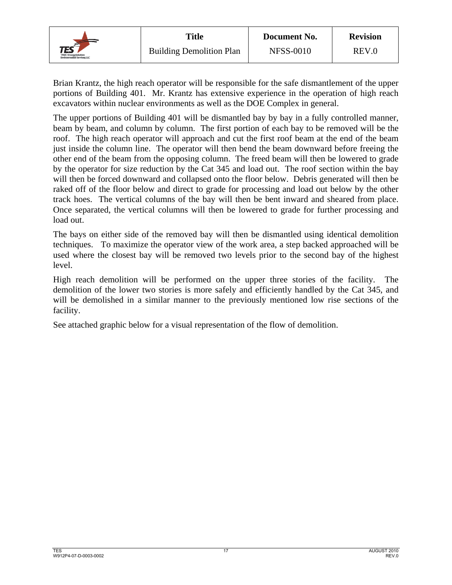![](_page_22_Picture_0.jpeg)

Brian Krantz, the high reach operator will be responsible for the safe dismantlement of the upper portions of Building 401. Mr. Krantz has extensive experience in the operation of high reach excavators within nuclear environments as well as the DOE Complex in general.

The upper portions of Building 401 will be dismantled bay by bay in a fully controlled manner, beam by beam, and column by column. The first portion of each bay to be removed will be the roof. The high reach operator will approach and cut the first roof beam at the end of the beam just inside the column line. The operator will then bend the beam downward before freeing the other end of the beam from the opposing column. The freed beam will then be lowered to grade by the operator for size reduction by the Cat 345 and load out. The roof section within the bay will then be forced downward and collapsed onto the floor below. Debris generated will then be raked off of the floor below and direct to grade for processing and load out below by the other track hoes. The vertical columns of the bay will then be bent inward and sheared from place. Once separated, the vertical columns will then be lowered to grade for further processing and load out.

The bays on either side of the removed bay will then be dismantled using identical demolition techniques. To maximize the operator view of the work area, a step backed approached will be used where the closest bay will be removed two levels prior to the second bay of the highest level.

High reach demolition will be performed on the upper three stories of the facility. The demolition of the lower two stories is more safely and efficiently handled by the Cat 345, and will be demolished in a similar manner to the previously mentioned low rise sections of the facility.

See attached graphic below for a visual representation of the flow of demolition.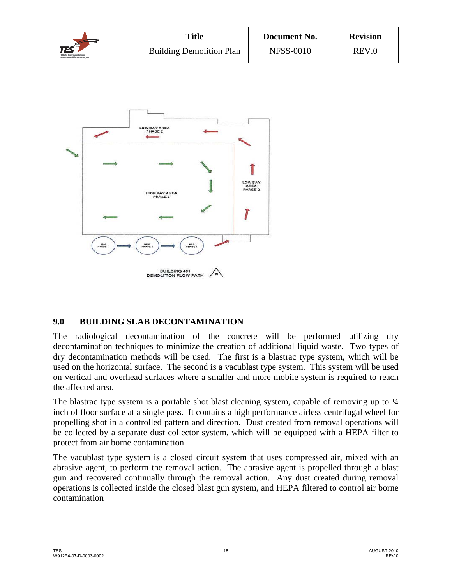|                                                                               | <b>Title</b>                    | Document No.     | <b>Revision</b> |  |
|-------------------------------------------------------------------------------|---------------------------------|------------------|-----------------|--|
| $\mathsf{TES}^{\leq 1}$<br>TPMC-EnergySelvHorn<br>Environmental Services, LLC | <b>Building Demolition Plan</b> | <b>NFSS-0010</b> | REV.0           |  |

![](_page_23_Figure_1.jpeg)

## **9.0 BUILDING SLAB DECONTAMINATION**

The radiological decontamination of the concrete will be performed utilizing dry decontamination techniques to minimize the creation of additional liquid waste. Two types of dry decontamination methods will be used. The first is a blastrac type system, which will be used on the horizontal surface. The second is a vacublast type system. This system will be used on vertical and overhead surfaces where a smaller and more mobile system is required to reach the affected area.

The blastrac type system is a portable shot blast cleaning system, capable of removing up to  $\frac{1}{4}$ inch of floor surface at a single pass. It contains a high performance airless centrifugal wheel for propelling shot in a controlled pattern and direction. Dust created from removal operations will be collected by a separate dust collector system, which will be equipped with a HEPA filter to protect from air borne contamination.

The vacublast type system is a closed circuit system that uses compressed air, mixed with an abrasive agent, to perform the removal action. The abrasive agent is propelled through a blast gun and recovered continually through the removal action. Any dust created during removal operations is collected inside the closed blast gun system, and HEPA filtered to control air borne contamination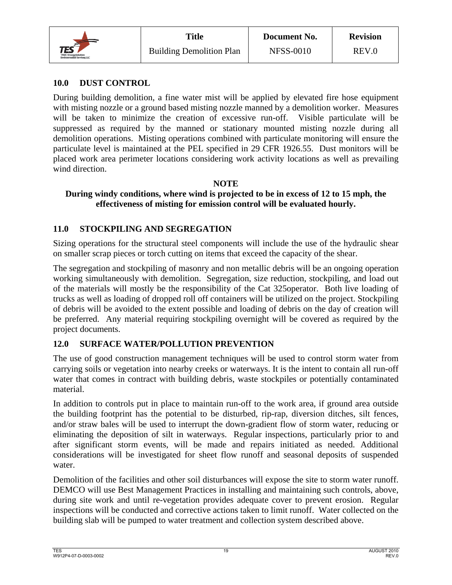![](_page_24_Picture_0.jpeg)

## **10.0 DUST CONTROL**

During building demolition, a fine water mist will be applied by elevated fire hose equipment with misting nozzle or a ground based misting nozzle manned by a demolition worker. Measures will be taken to minimize the creation of excessive run-off. Visible particulate will be suppressed as required by the manned or stationary mounted misting nozzle during all demolition operations. Misting operations combined with particulate monitoring will ensure the particulate level is maintained at the PEL specified in 29 CFR 1926.55. Dust monitors will be placed work area perimeter locations considering work activity locations as well as prevailing wind direction.

## **NOTE**

## **During windy conditions, where wind is projected to be in excess of 12 to 15 mph, the effectiveness of misting for emission control will be evaluated hourly.**

## **11.0 STOCKPILING AND SEGREGATION**

Sizing operations for the structural steel components will include the use of the hydraulic shear on smaller scrap pieces or torch cutting on items that exceed the capacity of the shear.

The segregation and stockpiling of masonry and non metallic debris will be an ongoing operation working simultaneously with demolition. Segregation, size reduction, stockpiling, and load out of the materials will mostly be the responsibility of the Cat 325operator. Both live loading of trucks as well as loading of dropped roll off containers will be utilized on the project. Stockpiling of debris will be avoided to the extent possible and loading of debris on the day of creation will be preferred. Any material requiring stockpiling overnight will be covered as required by the project documents.

## **12.0 SURFACE WATER/POLLUTION PREVENTION**

The use of good construction management techniques will be used to control storm water from carrying soils or vegetation into nearby creeks or waterways. It is the intent to contain all run-off water that comes in contract with building debris, waste stockpiles or potentially contaminated material.

In addition to controls put in place to maintain run-off to the work area, if ground area outside the building footprint has the potential to be disturbed, rip-rap, diversion ditches, silt fences, and/or straw bales will be used to interrupt the down-gradient flow of storm water, reducing or eliminating the deposition of silt in waterways. Regular inspections, particularly prior to and after significant storm events, will be made and repairs initiated as needed. Additional considerations will be investigated for sheet flow runoff and seasonal deposits of suspended water.

Demolition of the facilities and other soil disturbances will expose the site to storm water runoff. DEMCO will use Best Management Practices in installing and maintaining such controls, above, during site work and until re-vegetation provides adequate cover to prevent erosion. Regular inspections will be conducted and corrective actions taken to limit runoff. Water collected on the building slab will be pumped to water treatment and collection system described above.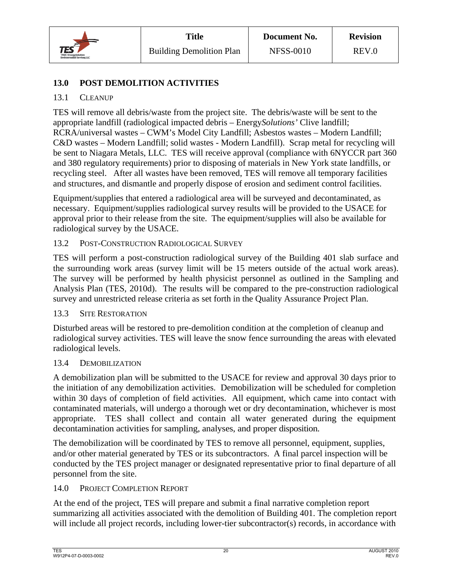![](_page_25_Picture_0.jpeg)

## **13.0 POST DEMOLITION ACTIVITIES**

## 13.1 CLEANUP

TES will remove all debris/waste from the project site. The debris/waste will be sent to the appropriate landfill (radiological impacted debris – Energy*Solutions'* Clive landfill; RCRA/universal wastes – CWM's Model City Landfill; Asbestos wastes – Modern Landfill; C&D wastes – Modern Landfill; solid wastes - Modern Landfill). Scrap metal for recycling will be sent to Niagara Metals, LLC. TES will receive approval (compliance with 6NYCCR part 360 and 380 regulatory requirements) prior to disposing of materials in New York state landfills, or recycling steel. After all wastes have been removed, TES will remove all temporary facilities and structures, and dismantle and properly dispose of erosion and sediment control facilities.

Equipment/supplies that entered a radiological area will be surveyed and decontaminated, as necessary. Equipment/supplies radiological survey results will be provided to the USACE for approval prior to their release from the site. The equipment/supplies will also be available for radiological survey by the USACE.

## 13.2 POST-CONSTRUCTION RADIOLOGICAL SURVEY

TES will perform a post-construction radiological survey of the Building 401 slab surface and the surrounding work areas (survey limit will be 15 meters outside of the actual work areas). The survey will be performed by health physicist personnel as outlined in the Sampling and Analysis Plan (TES, 2010d). The results will be compared to the pre-construction radiological survey and unrestricted release criteria as set forth in the Quality Assurance Project Plan.

## 13.3 SITE RESTORATION

Disturbed areas will be restored to pre-demolition condition at the completion of cleanup and radiological survey activities. TES will leave the snow fence surrounding the areas with elevated radiological levels.

#### 13.4 DEMOBILIZATION

A demobilization plan will be submitted to the USACE for review and approval 30 days prior to the initiation of any demobilization activities. Demobilization will be scheduled for completion within 30 days of completion of field activities. All equipment, which came into contact with contaminated materials, will undergo a thorough wet or dry decontamination, whichever is most appropriate. TES shall collect and contain all water generated during the equipment decontamination activities for sampling, analyses, and proper disposition.

The demobilization will be coordinated by TES to remove all personnel, equipment, supplies, and/or other material generated by TES or its subcontractors. A final parcel inspection will be conducted by the TES project manager or designated representative prior to final departure of all personnel from the site.

#### 14.0 PROJECT COMPLETION REPORT

At the end of the project, TES will prepare and submit a final narrative completion report summarizing all activities associated with the demolition of Building 401. The completion report will include all project records, including lower-tier subcontractor(s) records, in accordance with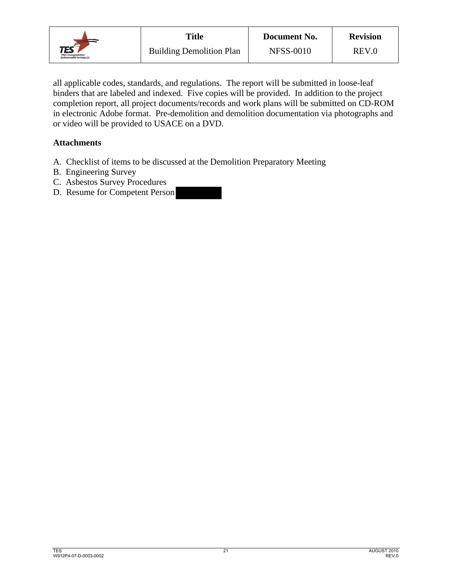![](_page_26_Picture_0.jpeg)

all applicable codes, standards, and regulations. The report will be submitted in loose-leaf binders that are labeled and indexed. Five copies will be provided. In addition to the project completion report, all project documents/records and work plans will be submitted on CD-ROM in electronic Adobe format. Pre-demolition and demolition documentation via photographs and or video will be provided to USACE on a DVD.

## **Attachments**

- A. Checklist of items to be discussed at the Demolition Preparatory Meeting
- B. Engineering Survey
- C. Asbestos Survey Procedures
- D. Resume for Competent Person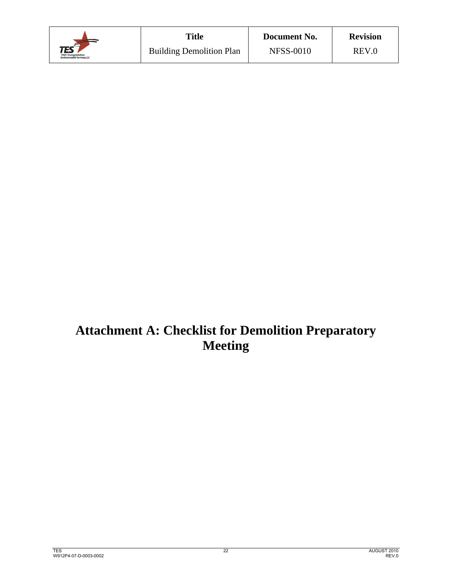|                                                                   | <b>Title</b>                    | Document No.     | <b>Revision</b> |  |
|-------------------------------------------------------------------|---------------------------------|------------------|-----------------|--|
| <b>TES</b><br>TPMC-Energyfinkeland<br>Environmental Services, LLC | <b>Building Demolition Plan</b> | <b>NFSS-0010</b> | REV.0           |  |

## **Attachment A: Checklist for Demolition Preparatory Meeting**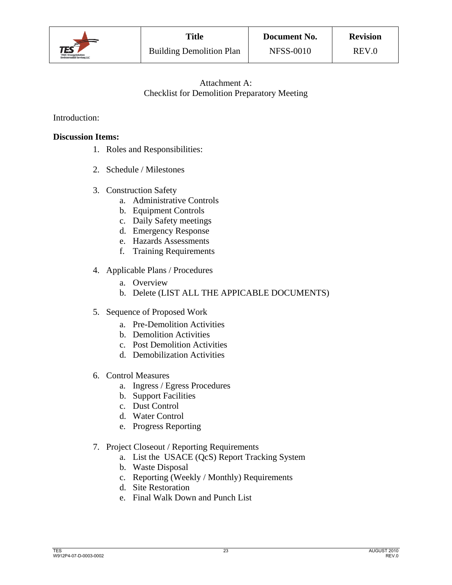![](_page_28_Picture_0.jpeg)

## Attachment A: Checklist for Demolition Preparatory Meeting

## Introduction:

## **Discussion Items:**

- 1. Roles and Responsibilities:
- 2. Schedule / Milestones
- 3. Construction Safety
	- a. Administrative Controls
	- b. Equipment Controls
	- c. Daily Safety meetings
	- d. Emergency Response
	- e. Hazards Assessments
	- f. Training Requirements
- 4. Applicable Plans / Procedures
	- a. Overview
	- b. Delete (LIST ALL THE APPICABLE DOCUMENTS)
- 5. Sequence of Proposed Work
	- a. Pre-Demolition Activities
	- b. Demolition Activities
	- c. Post Demolition Activities
	- d. Demobilization Activities
- 6. Control Measures
	- a. Ingress / Egress Procedures
	- b. Support Facilities
	- c. Dust Control
	- d. Water Control
	- e. Progress Reporting
- 7. Project Closeout / Reporting Requirements
	- a. List the USACE (QcS) Report Tracking System
	- b. Waste Disposal
	- c. Reporting (Weekly / Monthly) Requirements
	- d. Site Restoration
	- e. Final Walk Down and Punch List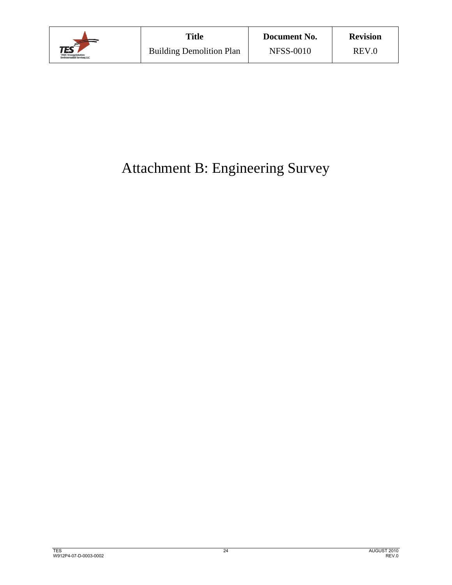![](_page_29_Picture_0.jpeg)

# Attachment B: Engineering Survey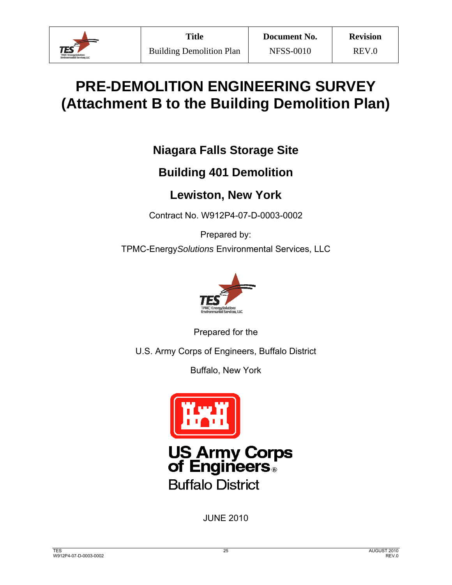![](_page_30_Picture_0.jpeg)

# **PRE-DEMOLITION ENGINEERING SURVEY (Attachment B to the Building Demolition Plan)**

## **Niagara Falls Storage Site**

## **Building 401 Demolition**

## **Lewiston, New York**

Contract No. W912P4-07-D-0003-0002

Prepared by: TPMC-Energy*Solutions* Environmental Services, LLC

![](_page_30_Picture_11.jpeg)

Prepared for the

U.S. Army Corps of Engineers, Buffalo District

Buffalo, New York

![](_page_30_Picture_15.jpeg)

**US Army Corps<br>of Engineers Buffalo District** 

JUNE 2010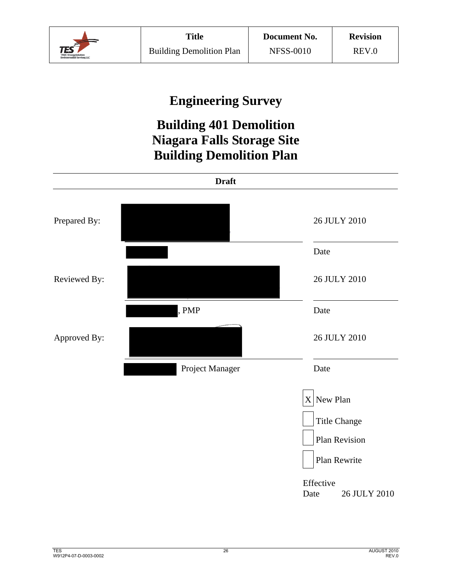![](_page_31_Picture_0.jpeg)

## **Engineering Survey**

## **Building 401 Demolition Niagara Falls Storage Site Building Demolition Plan**

![](_page_31_Figure_6.jpeg)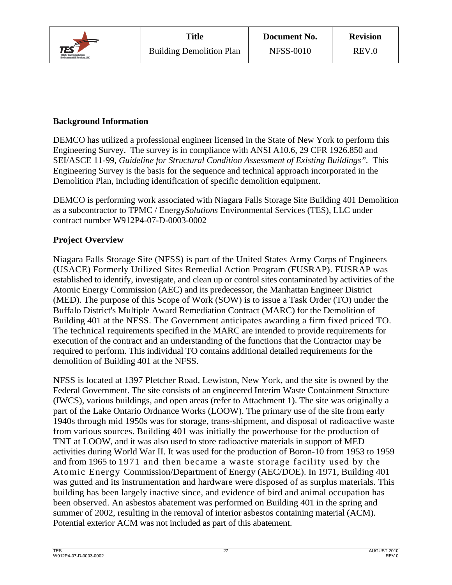![](_page_32_Picture_0.jpeg)

## **Background Information**

DEMCO has utilized a professional engineer licensed in the State of New York to perform this Engineering Survey. The survey is in compliance with ANSI A10.6, 29 CFR 1926.850 and SEI/ASCE 11-99, *Guideline for Structural Condition Assessment of Existing Buildings".* This Engineering Survey is the basis for the sequence and technical approach incorporated in the Demolition Plan, including identification of specific demolition equipment.

DEMCO is performing work associated with Niagara Falls Storage Site Building 401 Demolition as a subcontractor to TPMC / Energy*Solutions* Environmental Services (TES), LLC under contract number W912P4-07-D-0003-0002

## **Project Overview**

Niagara Falls Storage Site (NFSS) is part of the United States Army Corps of Engineers (USACE) Formerly Utilized Sites Remedial Action Program (FUSRAP). FUSRAP was established to identify, investigate, and clean up or control sites contaminated by activities of the Atomic Energy Commission (AEC) and its predecessor, the Manhattan Engineer District (MED). The purpose of this Scope of Work (SOW) is to issue a Task Order (TO) under the Buffalo District's Multiple Award Remediation Contract (MARC) for the Demolition of Building 401 at the NFSS. The Government anticipates awarding a firm fixed priced TO. The technical requirements specified in the MARC are intended to provide requirements for execution of the contract and an understanding of the functions that the Contractor may be required to perform. This individual TO contains additional detailed requirements for the demolition of Building 401 at the NFSS.

NFSS is located at 1397 Pletcher Road, Lewiston, New York, and the site is owned by the Federal Government. The site consists of an engineered Interim Waste Containment Structure (IWCS), various buildings, and open areas (refer to Attachment 1). The site was originally a part of the Lake Ontario Ordnance Works (LOOW). The primary use of the site from early 1940s through mid 1950s was for storage, trans-shipment, and disposal of radioactive waste from various sources. Building 401 was initially the powerhouse for the production of TNT at LOOW, and it was also used to store radioactive materials in support of MED activities during World War II. It was used for the production of Boron-10 from 1953 to 1959 and from 1965 to 1971 and then became a waste storage facility used by the Atomic Energy Commission/Department of Energy (AEC/DOE). In 1971, Building 401 was gutted and its instrumentation and hardware were disposed of as surplus materials. This building has been largely inactive since, and evidence of bird and animal occupation has been observed. An asbestos abatement was performed on Building 401 in the spring and summer of 2002, resulting in the removal of interior asbestos containing material (ACM). Potential exterior ACM was not included as part of this abatement.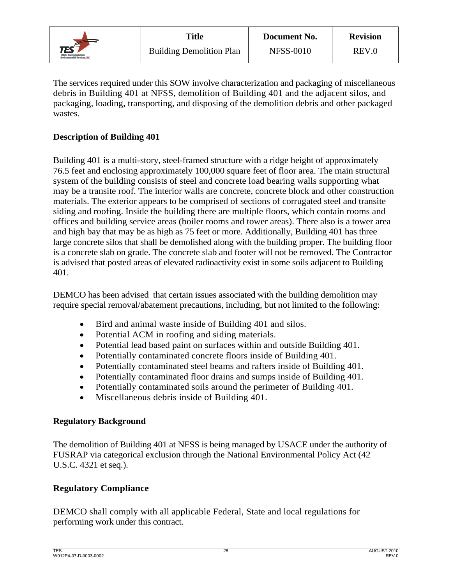![](_page_33_Picture_0.jpeg)

The services required under this SOW involve characterization and packaging of miscellaneous debris in Building 401 at NFSS, demolition of Building 401 and the adjacent silos, and packaging, loading, transporting, and disposing of the demolition debris and other packaged wastes.

## **Description of Building 401**

Building 401 is a multi-story, steel-framed structure with a ridge height of approximately 76.5 feet and enclosing approximately 100,000 square feet of floor area. The main structural system of the building consists of steel and concrete load bearing walls supporting what may be a transite roof. The interior walls are concrete, concrete block and other construction materials. The exterior appears to be comprised of sections of corrugated steel and transite siding and roofing. Inside the building there are multiple floors, which contain rooms and offices and building service areas (boiler rooms and tower areas). There also is a tower area and high bay that may be as high as 75 feet or more. Additionally, Building 401 has three large concrete silos that shall be demolished along with the building proper. The building floor is a concrete slab on grade. The concrete slab and footer will not be removed. The Contractor is advised that posted areas of elevated radioactivity exist in some soils adjacent to Building 401.

DEMCO has been advised that certain issues associated with the building demolition may require special removal/abatement precautions, including, but not limited to the following:

- Bird and animal waste inside of Building 401 and silos.
- Potential ACM in roofing and siding materials.
- Potential lead based paint on surfaces within and outside Building 401.
- Potentially contaminated concrete floors inside of Building 401.
- Potentially contaminated steel beams and rafters inside of Building 401.
- Potentially contaminated floor drains and sumps inside of Building 401.
- Potentially contaminated soils around the perimeter of Building 401.
- Miscellaneous debris inside of Building 401.

## **Regulatory Background**

The demolition of Building 401 at NFSS is being managed by USACE under the authority of FUSRAP via categorical exclusion through the National Environmental Policy Act (42 U.S.C. 4321 et seq.).

## **Regulatory Compliance**

DEMCO shall comply with all applicable Federal, State and local regulations for performing work under this contract.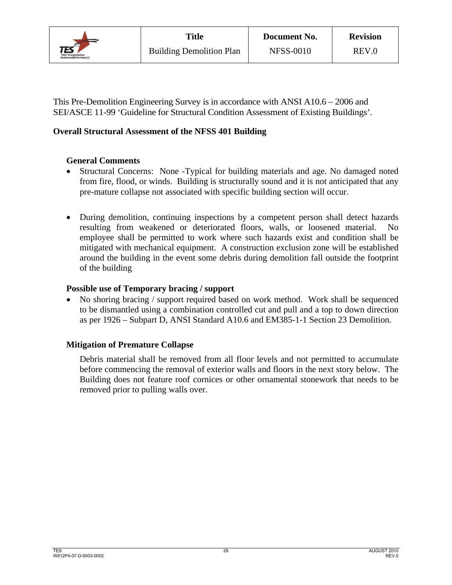![](_page_34_Picture_0.jpeg)

This Pre-Demolition Engineering Survey is in accordance with ANSI A10.6 – 2006 and SEI/ASCE 11-99 'Guideline for Structural Condition Assessment of Existing Buildings'.

## **Overall Structural Assessment of the NFSS 401 Building**

## **General Comments**

- Structural Concerns:None -Typical for building materials and age. No damaged noted from fire, flood, or winds. Building is structurally sound and it is not anticipated that any pre-mature collapse not associated with specific building section will occur.
- During demolition, continuing inspections by a competent person shall detect hazards resulting from weakened or deteriorated floors, walls, or loosened material. No employee shall be permitted to work where such hazards exist and condition shall be mitigated with mechanical equipment. A construction exclusion zone will be established around the building in the event some debris during demolition fall outside the footprint of the building

## **Possible use of Temporary bracing / support**

 No shoring bracing / support required based on work method. Work shall be sequenced to be dismantled using a combination controlled cut and pull and a top to down direction as per 1926 – Subpart D, ANSI Standard A10.6 and EM385-1-1 Section 23 Demolition.

## **Mitigation of Premature Collapse**

Debris material shall be removed from all floor levels and not permitted to accumulate before commencing the removal of exterior walls and floors in the next story below. The Building does not feature roof cornices or other ornamental stonework that needs to be removed prior to pulling walls over.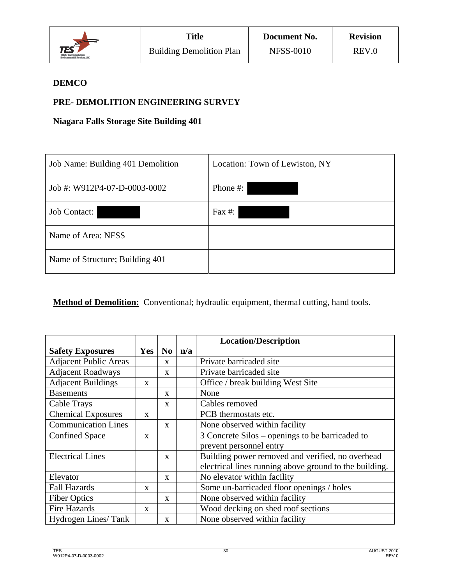![](_page_35_Picture_0.jpeg)

## **DEMCO**

## **PRE- DEMOLITION ENGINEERING SURVEY**

**Niagara Falls Storage Site Building 401** 

| Job Name: Building 401 Demolition | Location: Town of Lewiston, NY |
|-----------------------------------|--------------------------------|
| Job #: W912P4-07-D-0003-0002      | Phone #:                       |
| <b>Job Contact:</b>               | Fax $#$ :                      |
| Name of Area: NFSS                |                                |
| Name of Structure; Building 401   |                                |

**Method of Demolition:** Conventional; hydraulic equipment, thermal cutting, hand tools.

|                              |              |                |     | <b>Location/Description</b>                            |  |
|------------------------------|--------------|----------------|-----|--------------------------------------------------------|--|
| <b>Safety Exposures</b>      | <b>Yes</b>   | N <sub>0</sub> | n/a |                                                        |  |
| <b>Adjacent Public Areas</b> |              | $\mathbf{X}$   |     | Private barricaded site                                |  |
| <b>Adjacent Roadways</b>     |              | $\mathbf{x}$   |     | Private barricaded site                                |  |
| <b>Adjacent Buildings</b>    | $\mathbf{x}$ |                |     | Office / break building West Site                      |  |
| <b>Basements</b>             |              | $\mathbf{x}$   |     | None                                                   |  |
| <b>Cable Trays</b>           |              | $\mathbf{x}$   |     | Cables removed                                         |  |
| <b>Chemical Exposures</b>    | X            |                |     | PCB thermostats etc.                                   |  |
| <b>Communication Lines</b>   |              | $\mathbf{X}$   |     | None observed within facility                          |  |
| <b>Confined Space</b>        | $\mathbf{x}$ |                |     | 3 Concrete Silos – openings to be barricaded to        |  |
|                              |              |                |     | prevent personnel entry                                |  |
| <b>Electrical Lines</b>      |              | $\mathbf{x}$   |     | Building power removed and verified, no overhead       |  |
|                              |              |                |     | electrical lines running above ground to the building. |  |
| Elevator                     |              | $\mathbf{X}$   |     | No elevator within facility                            |  |
| <b>Fall Hazards</b>          | X            |                |     | Some un-barricaded floor openings / holes              |  |
| <b>Fiber Optics</b>          |              | $\mathbf{X}$   |     | None observed within facility                          |  |
| <b>Fire Hazards</b>          | X            |                |     | Wood decking on shed roof sections                     |  |
| Hydrogen Lines/Tank          |              | X              |     | None observed within facility                          |  |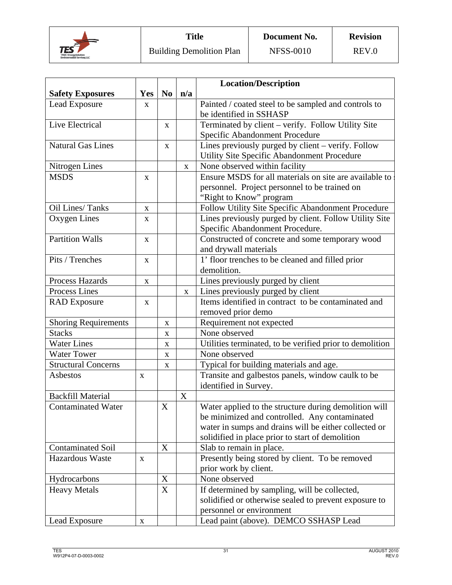![](_page_36_Picture_0.jpeg)

|                             |              |                |             | <b>Location/Description</b>                              |
|-----------------------------|--------------|----------------|-------------|----------------------------------------------------------|
| <b>Safety Exposures</b>     | Yes          | N <sub>0</sub> | n/a         |                                                          |
| Lead Exposure               | X            |                |             | Painted / coated steel to be sampled and controls to     |
|                             |              |                |             | be identified in SSHASP                                  |
| Live Electrical             |              | $\mathbf X$    |             | Terminated by client - verify. Follow Utility Site       |
|                             |              |                |             | Specific Abandonment Procedure                           |
| <b>Natural Gas Lines</b>    |              | $\mathbf X$    |             | Lines previously purged by client – verify. Follow       |
|                             |              |                |             | Utility Site Specific Abandonment Procedure              |
| Nitrogen Lines              |              |                | $\mathbf X$ | None observed within facility                            |
| <b>MSDS</b>                 | $\mathbf{X}$ |                |             | Ensure MSDS for all materials on site are available to   |
|                             |              |                |             | personnel. Project personnel to be trained on            |
|                             |              |                |             | "Right to Know" program                                  |
| Oil Lines/Tanks             | $\mathbf X$  |                |             | Follow Utility Site Specific Abandonment Procedure       |
| Oxygen Lines                | X            |                |             | Lines previously purged by client. Follow Utility Site   |
|                             |              |                |             | Specific Abandonment Procedure.                          |
| <b>Partition Walls</b>      | $\mathbf{X}$ |                |             | Constructed of concrete and some temporary wood          |
|                             |              |                |             | and drywall materials                                    |
| Pits / Trenches             | $\mathbf{X}$ |                |             | 1' floor trenches to be cleaned and filled prior         |
|                             |              |                |             | demolition.                                              |
| <b>Process Hazards</b>      | $\mathbf X$  |                |             | Lines previously purged by client                        |
| Process Lines               |              |                | X           | Lines previously purged by client                        |
| <b>RAD</b> Exposure         | $\mathbf X$  |                |             | Items identified in contract to be contaminated and      |
|                             |              |                |             | removed prior demo                                       |
| <b>Shoring Requirements</b> |              | X              |             | Requirement not expected                                 |
| <b>Stacks</b>               |              | $\mathbf X$    |             | None observed                                            |
| Water Lines                 |              | X              |             | Utilities terminated, to be verified prior to demolition |
| <b>Water Tower</b>          |              | $\mathbf X$    |             | None observed                                            |
| <b>Structural Concerns</b>  |              | X              |             | Typical for building materials and age.                  |
| Asbestos                    | X            |                |             | Transite and galbestos panels, window caulk to be        |
|                             |              |                |             | identified in Survey.                                    |
| <b>Backfill Material</b>    |              |                | X           |                                                          |
| <b>Contaminated Water</b>   |              | X              |             | Water applied to the structure during demolition will    |
|                             |              |                |             | be minimized and controlled. Any contaminated            |
|                             |              |                |             | water in sumps and drains will be either collected or    |
|                             |              |                |             | solidified in place prior to start of demolition         |
| <b>Contaminated Soil</b>    |              | X              |             | Slab to remain in place.                                 |
| Hazardous Waste             | $\mathbf{X}$ |                |             | Presently being stored by client. To be removed          |
|                             |              |                |             | prior work by client.                                    |
| Hydrocarbons                |              | X              |             | None observed                                            |
| <b>Heavy Metals</b>         |              | X              |             | If determined by sampling, will be collected,            |
|                             |              |                |             | solidified or otherwise sealed to prevent exposure to    |
|                             |              |                |             | personnel or environment                                 |
| Lead Exposure               | $\mathbf X$  |                |             | Lead paint (above). DEMCO SSHASP Lead                    |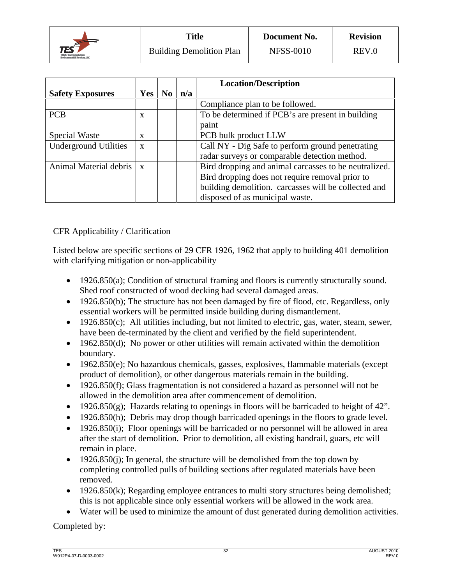![](_page_37_Picture_0.jpeg)

|                              |              |                                                 |     | <b>Location/Description</b>                           |  |
|------------------------------|--------------|-------------------------------------------------|-----|-------------------------------------------------------|--|
| <b>Safety Exposures</b>      | <b>Yes</b>   | No                                              | n/a |                                                       |  |
|                              |              |                                                 |     | Compliance plan to be followed.                       |  |
| <b>PCB</b>                   | X            |                                                 |     | To be determined if PCB's are present in building     |  |
|                              |              |                                                 |     | paint                                                 |  |
| Special Waste                | X            |                                                 |     | PCB bulk product LLW                                  |  |
| <b>Underground Utilities</b> | $\mathbf{x}$ |                                                 |     | Call NY - Dig Safe to perform ground penetrating      |  |
|                              |              |                                                 |     | radar surveys or comparable detection method.         |  |
| Animal Material debris   x   |              |                                                 |     | Bird dropping and animal carcasses to be neutralized. |  |
|                              |              | Bird dropping does not require removal prior to |     |                                                       |  |
|                              |              |                                                 |     | building demolition. carcasses will be collected and  |  |
|                              |              |                                                 |     | disposed of as municipal waste.                       |  |

CFR Applicability / Clarification

Listed below are specific sections of 29 CFR 1926, 1962 that apply to building 401 demolition with clarifying mitigation or non-applicability

- 1926.850(a); Condition of structural framing and floors is currently structurally sound. Shed roof constructed of wood decking had several damaged areas.
- 1926.850(b); The structure has not been damaged by fire of flood, etc. Regardless, only essential workers will be permitted inside building during dismantlement.
- $\bullet$  1926.850(c); All utilities including, but not limited to electric, gas, water, steam, sewer, have been de-terminated by the client and verified by the field superintendent.
- $\bullet$  1962.850(d); No power or other utilities will remain activated within the demolition boundary.
- 1962.850(e); No hazardous chemicals, gasses, explosives, flammable materials (except product of demolition), or other dangerous materials remain in the building.
- 1926.850(f); Glass fragmentation is not considered a hazard as personnel will not be allowed in the demolition area after commencement of demolition.
- 1926.850(g); Hazards relating to openings in floors will be barricaded to height of 42".
- 1926.850(h); Debris may drop though barricaded openings in the floors to grade level.
- 1926.850(i); Floor openings will be barricaded or no personnel will be allowed in area after the start of demolition. Prior to demolition, all existing handrail, guars, etc will remain in place.
- $\bullet$  1926.850(j); In general, the structure will be demolished from the top down by completing controlled pulls of building sections after regulated materials have been removed.
- $\bullet$  1926.850(k); Regarding employee entrances to multi story structures being demolished; this is not applicable since only essential workers will be allowed in the work area.
- Water will be used to minimize the amount of dust generated during demolition activities.

Completed by: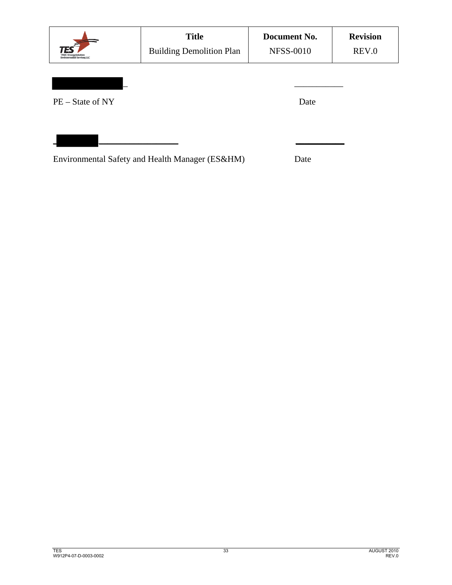|                    | <b>Title</b><br><b>Building Demolition Plan</b> | Document No.<br><b>NFSS-0010</b> | <b>Revision</b><br>REV.0 |
|--------------------|-------------------------------------------------|----------------------------------|--------------------------|
| $PE - State of NY$ |                                                 | Date                             |                          |
|                    | Environmental Safety and Health Manager (ES&HM) | Date                             |                          |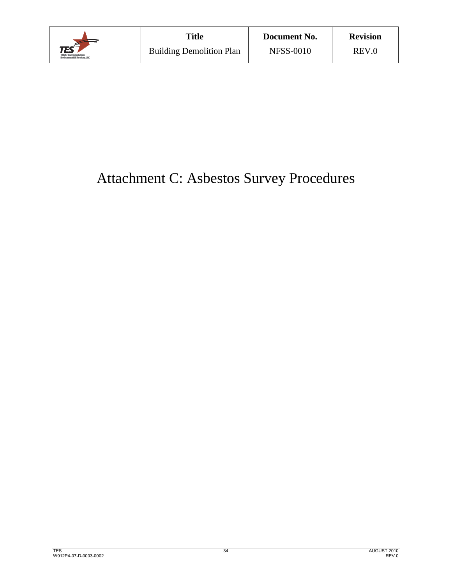![](_page_39_Picture_0.jpeg)

# Attachment C: Asbestos Survey Procedures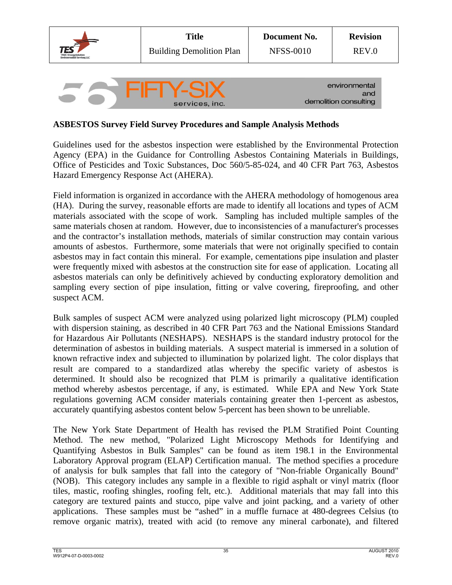![](_page_40_Picture_0.jpeg)

## **ASBESTOS Survey Field Survey Procedures and Sample Analysis Methods**

Guidelines used for the asbestos inspection were established by the Environmental Protection Agency (EPA) in the Guidance for Controlling Asbestos Containing Materials in Buildings, Office of Pesticides and Toxic Substances, Doc 560/5-85-024, and 40 CFR Part 763, Asbestos Hazard Emergency Response Act (AHERA).

Field information is organized in accordance with the AHERA methodology of homogenous area (HA). During the survey, reasonable efforts are made to identify all locations and types of ACM materials associated with the scope of work. Sampling has included multiple samples of the same materials chosen at random. However, due to inconsistencies of a manufacturer's processes and the contractor's installation methods, materials of similar construction may contain various amounts of asbestos. Furthermore, some materials that were not originally specified to contain asbestos may in fact contain this mineral. For example, cementations pipe insulation and plaster were frequently mixed with asbestos at the construction site for ease of application. Locating all asbestos materials can only be definitively achieved by conducting exploratory demolition and sampling every section of pipe insulation, fitting or valve covering, fireproofing, and other suspect ACM.

Bulk samples of suspect ACM were analyzed using polarized light microscopy (PLM) coupled with dispersion staining, as described in 40 CFR Part 763 and the National Emissions Standard for Hazardous Air Pollutants (NESHAPS). NESHAPS is the standard industry protocol for the determination of asbestos in building materials. A suspect material is immersed in a solution of known refractive index and subjected to illumination by polarized light. The color displays that result are compared to a standardized atlas whereby the specific variety of asbestos is determined. It should also be recognized that PLM is primarily a qualitative identification method whereby asbestos percentage, if any, is estimated. While EPA and New York State regulations governing ACM consider materials containing greater then 1-percent as asbestos, accurately quantifying asbestos content below 5-percent has been shown to be unreliable.

The New York State Department of Health has revised the PLM Stratified Point Counting Method. The new method, "Polarized Light Microscopy Methods for Identifying and Quantifying Asbestos in Bulk Samples" can be found as item 198.1 in the Environmental Laboratory Approval program (ELAP) Certification manual. The method specifies a procedure of analysis for bulk samples that fall into the category of "Non-friable Organically Bound" (NOB). This category includes any sample in a flexible to rigid asphalt or vinyl matrix (floor tiles, mastic, roofing shingles, roofing felt, etc.). Additional materials that may fall into this category are textured paints and stucco, pipe valve and joint packing, and a variety of other applications. These samples must be "ashed" in a muffle furnace at 480-degrees Celsius (to remove organic matrix), treated with acid (to remove any mineral carbonate), and filtered